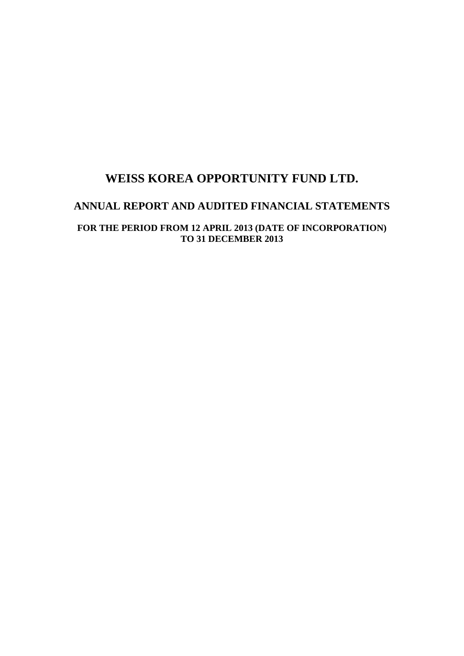# **ANNUAL REPORT AND AUDITED FINANCIAL STATEMENTS**

# **FOR THE PERIOD FROM 12 APRIL 2013 (DATE OF INCORPORATION) TO 31 DECEMBER 2013**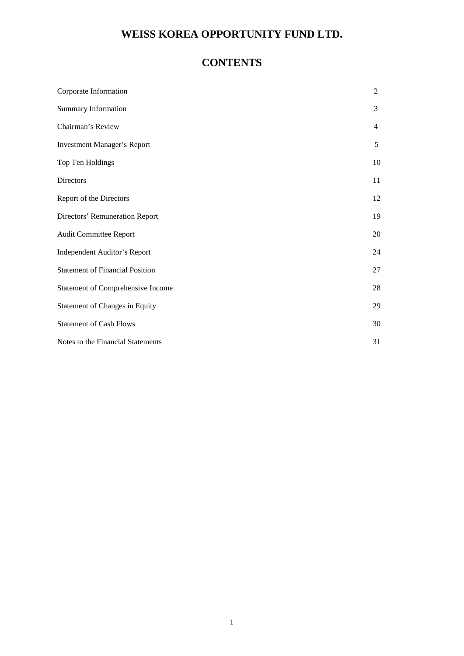# **CONTENTS**

| Corporate Information                  | $\overline{2}$ |
|----------------------------------------|----------------|
| <b>Summary Information</b>             | 3              |
| Chairman's Review                      | $\overline{4}$ |
| <b>Investment Manager's Report</b>     | 5              |
| Top Ten Holdings                       | 10             |
| <b>Directors</b>                       | 11             |
| Report of the Directors                | 12             |
| Directors' Remuneration Report         | 19             |
| <b>Audit Committee Report</b>          | 20             |
| Independent Auditor's Report           | 24             |
| <b>Statement of Financial Position</b> | 27             |
| Statement of Comprehensive Income      | 28             |
| <b>Statement of Changes in Equity</b>  | 29             |
| <b>Statement of Cash Flows</b>         | 30             |
| Notes to the Financial Statements      | 31             |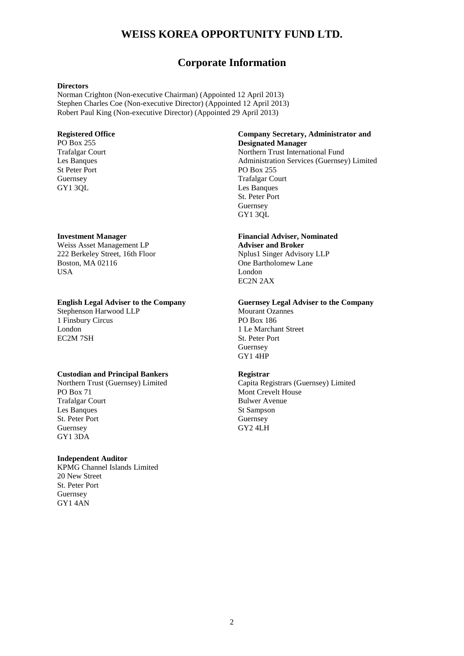# **Corporate Information**

## **Directors**

Norman Crighton (Non-executive Chairman) (Appointed 12 April 2013) Stephen Charles Coe (Non-executive Director) (Appointed 12 April 2013) Robert Paul King (Non-executive Director) (Appointed 29 April 2013)

# **Registered Office**

PO Box 255 Trafalgar Court Les Banques St Peter Port Guernsey GY1 3QL

## **Investment Manager**

Weiss Asset Management LP 222 Berkeley Street, 16th Floor Boston, MA 02116 **USA** 

# **English Legal Adviser to the Company**

Stephenson Harwood LLP 1 Finsbury Circus London EC2M 7SH

## **Custodian and Principal Bankers**

Northern Trust (Guernsey) Limited PO Box 71 Trafalgar Court Les Banques St. Peter Port Guernsey GY1 3DA

#### **Independent Auditor**

KPMG Channel Islands Limited 20 New Street St. Peter Port Guernsey GY1 4AN

# **Company Secretary, Administrator and Designated Manager** Northern Trust International Fund Administration Services (Guernsey) Limited

PO Box 255 Trafalgar Court Les Banques St. Peter Port Guernsey GY1 3QL

#### **Financial Adviser, Nominated Adviser and Broker**

Nplus1 Singer Advisory LLP One Bartholomew Lane London EC2N 2AX

# **Guernsey Legal Adviser to the Company**

Mourant Ozannes PO Box 186 1 Le Marchant Street St. Peter Port Guernsey GY1 4HP

## **Registrar**

Capita Registrars (Guernsey) Limited Mont Crevelt House Bulwer Avenue St Sampson Guernsey GY2 4LH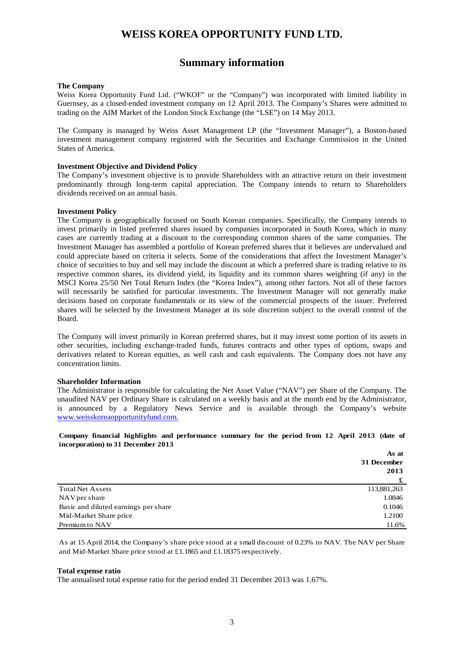# **Summary information**

### **The Company**

Weiss Korea Opportunity Fund Ltd. ("WKOF" or the "Company") was incorporated with limited liability in Guernsey, as a closed-ended investment company on 12 April 2013. The Company's Shares were admitted to trading on the AIM Market of the London Stock Exchange (the "LSE") on 14 May 2013.

The Company is managed by Weiss Asset Management LP (the "Investment Manager"), a Boston-based investment management company registered with the Securities and Exchange Commission in the United States of America.

#### **Investment Objective and Dividend Policy**

The Company's investment objective is to provide Shareholders with an attractive return on their investment predominantly through long-term capital appreciation. The Company intends to return to Shareholders dividends received on an annual basis.

### **Investment Policy**

The Company is geographically focused on South Korean companies. Specifically, the Company intends to invest primarily in listed preferred shares issued by companies incorporated in South Korea, which in many cases are currently trading at a discount to the corresponding common shares of the same companies. The Investment Manager has assembled a portfolio of Korean preferred shares that it believes are undervalued and could appreciate based on criteria it selects. Some of the considerations that affect the Investment Manager's choice of securities to buy and sell may include the discount at which a preferred share is trading relative to its respective common shares, its dividend yield, its liquidity and its common shares weighting (if any) in the MSCI Korea 25/50 Net Total Return Index (the "Korea Index"), among other factors. Not all of these factors will necessarily be satisfied for particular investments. The Investment Manager will not generally make decisions based on corporate fundamentals or its view of the commercial prospects of the issuer. Preferred shares will be selected by the Investment Manager at its sole discretion subject to the overall control of the Board.

The Company will invest primarily in Korean preferred shares, but it may invest some portion of its assets in other securities, including exchange-traded funds, futures contracts and other types of options, swaps and derivatives related to Korean equities, as well cash and cash equivalents. The Company does not have any concentration limits.

#### **Shareholder Information**

The Administrator is responsible for calculating the Net Asset Value ("NAV") per Share of the Company. The unaudited NAV per Ordinary Share is calculated on a weekly basis and at the month end by the Administrator, is announced by a Regulatory News Service and is available through the Company's website [www.weisskoreaopportunityfund.com.](http://www.weisskoreaopportunityfund.com/)

#### **Company financial highlights and performance summary for the period from 12 April 2013 (date of incorporation) to 31 December 2013**

|                                      | As at       |
|--------------------------------------|-------------|
|                                      | 31 December |
|                                      | 2013        |
|                                      | £           |
| <b>Total Net Assets</b>              | 113,881,263 |
| NAV per share                        | 1.0846      |
| Basic and diluted earnings per share | 0.1046      |
| Mid-Market Share price               | 1.2100      |
| Premium to NAV                       | 11.6%       |

As at 15 April 2014, the Company's share price stood at a small discount of 0.23% to NAV. The NAV per Share and Mid-Market Share price stood at £1.1865 and £1.18375 respectively.

#### **Total expense ratio**

The annualised total expense ratio for the period ended 31 December 2013 was 1.67%.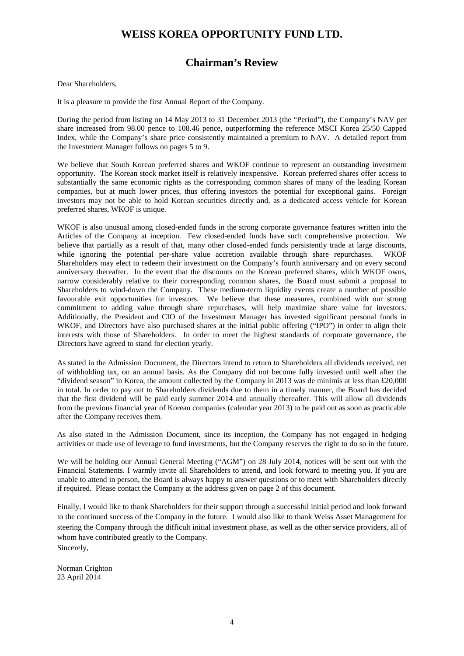# **Chairman's Review**

### Dear Shareholders,

It is a pleasure to provide the first Annual Report of the Company.

During the period from listing on 14 May 2013 to 31 December 2013 (the "Period"), the Company's NAV per share increased from 98.00 pence to 108.46 pence, outperforming the reference MSCI Korea 25/50 Capped Index, while the Company's share price consistently maintained a premium to NAV. A detailed report from the Investment Manager follows on pages 5 to 9.

We believe that South Korean preferred shares and WKOF continue to represent an outstanding investment opportunity. The Korean stock market itself is relatively inexpensive. Korean preferred shares offer access to substantially the same economic rights as the corresponding common shares of many of the leading Korean companies, but at much lower prices, thus offering investors the potential for exceptional gains. Foreign investors may not be able to hold Korean securities directly and, as a dedicated access vehicle for Korean preferred shares, WKOF is unique.

WKOF is also unusual among closed-ended funds in the strong corporate governance features written into the Articles of the Company at inception. Few closed-ended funds have such comprehensive protection. We believe that partially as a result of that, many other closed-ended funds persistently trade at large discounts, while ignoring the potential per-share value accretion available through share repurchases. WKOF Shareholders may elect to redeem their investment on the Company's fourth anniversary and on every second anniversary thereafter. In the event that the discounts on the Korean preferred shares, which WKOF owns, narrow considerably relative to their corresponding common shares, the Board must submit a proposal to Shareholders to wind-down the Company. These medium-term liquidity events create a number of possible favourable exit opportunities for investors. We believe that these measures, combined with our strong commitment to adding value through share repurchases, will help maximize share value for investors. Additionally, the President and CIO of the Investment Manager has invested significant personal funds in WKOF, and Directors have also purchased shares at the initial public offering ("IPO") in order to align their interests with those of Shareholders. In order to meet the highest standards of corporate governance, the Directors have agreed to stand for election yearly.

As stated in the Admission Document, the Directors intend to return to Shareholders all dividends received, net of withholding tax, on an annual basis. As the Company did not become fully invested until well after the "dividend season" in Korea, the amount collected by the Company in 2013 was de minimis at less than £20,000 in total. In order to pay out to Shareholders dividends due to them in a timely manner, the Board has decided that the first dividend will be paid early summer 2014 and annually thereafter. This will allow all dividends from the previous financial year of Korean companies (calendar year 2013) to be paid out as soon as practicable after the Company receives them.

As also stated in the Admission Document, since its inception, the Company has not engaged in hedging activities or made use of leverage to fund investments, but the Company reserves the right to do so in the future.

We will be holding our Annual General Meeting ("AGM") on 28 July 2014, notices will be sent out with the Financial Statements. I warmly invite all Shareholders to attend, and look forward to meeting you. If you are unable to attend in person, the Board is always happy to answer questions or to meet with Shareholders directly if required. Please contact the Company at the address given on page 2 of this document.

Finally, I would like to thank Shareholders for their support through a successful initial period and look forward to the continued success of the Company in the future. I would also like to thank Weiss Asset Management for steering the Company through the difficult initial investment phase, as well as the other service providers, all of whom have contributed greatly to the Company. Sincerely,

Norman Crighton 23 April 2014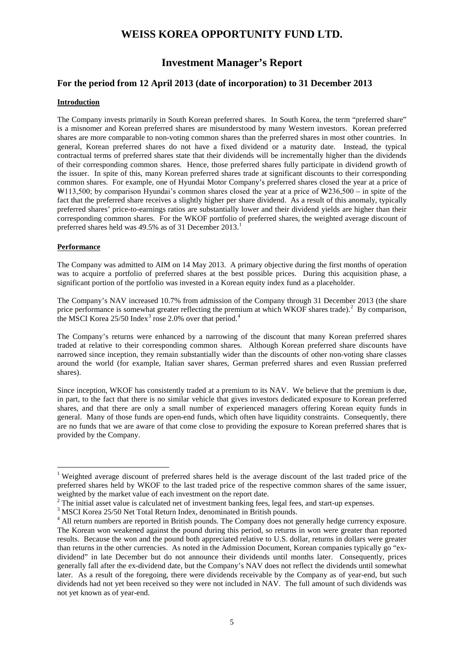# **Investment Manager's Report**

# **For the period from 12 April 2013 (date of incorporation) to 31 December 2013**

#### **Introduction**

The Company invests primarily in South Korean preferred shares. In South Korea, the term "preferred share" is a misnomer and Korean preferred shares are misunderstood by many Western investors. Korean preferred shares are more comparable to non-voting common shares than the preferred shares in most other countries. In general, Korean preferred shares do not have a fixed dividend or a maturity date. Instead, the typical contractual terms of preferred shares state that their dividends will be incrementally higher than the dividends of their corresponding common shares. Hence, those preferred shares fully participate in dividend growth of the issuer. In spite of this, many Korean preferred shares trade at significant discounts to their corresponding common shares. For example, one of Hyundai Motor Company's preferred shares closed the year at a price of ₩113,500; by comparison Hyundai's common shares closed the year at a price of ₩236,500 – in spite of the fact that the preferred share receives a slightly higher per share dividend. As a result of this anomaly, typically preferred shares' price-to-earnings ratios are substantially lower and their dividend yields are higher than their corresponding common shares. For the WKOF portfolio of preferred shares, the weighted average discount of preferred shares held was 49.5% as of 3[1](#page-5-0) December 2013.<sup>1</sup>

### **Performance**

 $\overline{a}$ 

The Company was admitted to AIM on 14 May 2013. A primary objective during the first months of operation was to acquire a portfolio of preferred shares at the best possible prices. During this acquisition phase, a significant portion of the portfolio was invested in a Korean equity index fund as a placeholder.

The Company's NAV increased 10.7% from admission of the Company through 31 December 2013 (the share price performance is somewhat greater reflecting the premium at which WKOF shares trade).<sup>[2](#page-5-1)</sup> By comparison, the MSCI Korea  $25/50$  Index<sup>[3](#page-5-2)</sup> rose 2.0% over that period.<sup>[4](#page-5-3)</sup>

The Company's returns were enhanced by a narrowing of the discount that many Korean preferred shares traded at relative to their corresponding common shares. Although Korean preferred share discounts have narrowed since inception, they remain substantially wider than the discounts of other non-voting share classes around the world (for example, Italian saver shares, German preferred shares and even Russian preferred shares).

Since inception, WKOF has consistently traded at a premium to its NAV. We believe that the premium is due, in part, to the fact that there is no similar vehicle that gives investors dedicated exposure to Korean preferred shares, and that there are only a small number of experienced managers offering Korean equity funds in general. Many of those funds are open-end funds, which often have liquidity constraints. Consequently, there are no funds that we are aware of that come close to providing the exposure to Korean preferred shares that is provided by the Company.

<span id="page-5-0"></span><sup>&</sup>lt;sup>1</sup> Weighted average discount of preferred shares held is the average discount of the last traded price of the preferred shares held by WKOF to the last traded price of the respective common shares of the same issuer,

<span id="page-5-3"></span><span id="page-5-2"></span>

<span id="page-5-1"></span>weighted by the market value of each investment on the report date.<br>
<sup>2</sup> The initial asset value is calculated net of investment banking fees, legal fees, and start-up expenses.<br>
<sup>3</sup> MSCI Korea 25/50 Net Total Return Index The Korean won weakened against the pound during this period, so returns in won were greater than reported results. Because the won and the pound both appreciated relative to U.S. dollar, returns in dollars were greater than returns in the other currencies. As noted in the Admission Document, Korean companies typically go "exdividend" in late December but do not announce their dividends until months later. Consequently, prices generally fall after the ex-dividend date, but the Company's NAV does not reflect the dividends until somewhat later. As a result of the foregoing, there were dividends receivable by the Company as of year-end, but such dividends had not yet been received so they were not included in NAV. The full amount of such dividends was not yet known as of year-end.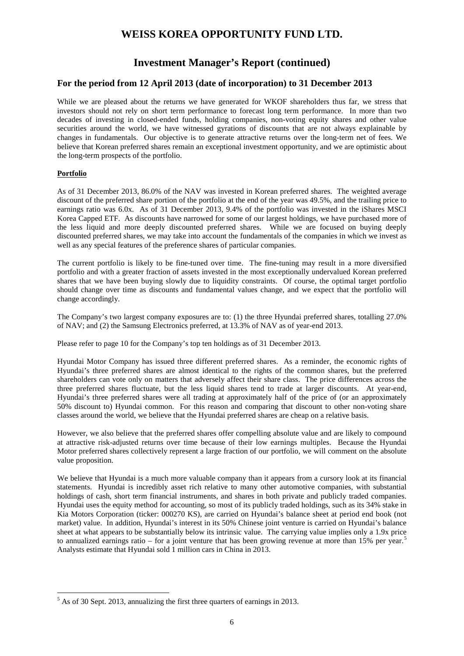# **Investment Manager's Report (continued)**

# **For the period from 12 April 2013 (date of incorporation) to 31 December 2013**

While we are pleased about the returns we have generated for WKOF shareholders thus far, we stress that investors should not rely on short term performance to forecast long term performance. In more than two decades of investing in closed-ended funds, holding companies, non-voting equity shares and other value securities around the world, we have witnessed gyrations of discounts that are not always explainable by changes in fundamentals. Our objective is to generate attractive returns over the long-term net of fees. We believe that Korean preferred shares remain an exceptional investment opportunity, and we are optimistic about the long-term prospects of the portfolio.

## **Portfolio**

As of 31 December 2013, 86.0% of the NAV was invested in Korean preferred shares. The weighted average discount of the preferred share portion of the portfolio at the end of the year was 49.5%, and the trailing price to earnings ratio was 6.0x. As of 31 December 2013, 9.4% of the portfolio was invested in the iShares MSCI Korea Capped ETF. As discounts have narrowed for some of our largest holdings, we have purchased more of the less liquid and more deeply discounted preferred shares. While we are focused on buying deeply discounted preferred shares, we may take into account the fundamentals of the companies in which we invest as well as any special features of the preference shares of particular companies.

The current portfolio is likely to be fine-tuned over time. The fine-tuning may result in a more diversified portfolio and with a greater fraction of assets invested in the most exceptionally undervalued Korean preferred shares that we have been buying slowly due to liquidity constraints. Of course, the optimal target portfolio should change over time as discounts and fundamental values change, and we expect that the portfolio will change accordingly.

The Company's two largest company exposures are to: (1) the three Hyundai preferred shares, totalling 27.0% of NAV; and (2) the Samsung Electronics preferred, at 13.3% of NAV as of year-end 2013.

Please refer to page 10 for the Company's top ten holdings as of 31 December 2013.

Hyundai Motor Company has issued three different preferred shares. As a reminder, the economic rights of Hyundai's three preferred shares are almost identical to the rights of the common shares, but the preferred shareholders can vote only on matters that adversely affect their share class. The price differences across the three preferred shares fluctuate, but the less liquid shares tend to trade at larger discounts. At year-end, Hyundai's three preferred shares were all trading at approximately half of the price of (or an approximately 50% discount to) Hyundai common. For this reason and comparing that discount to other non-voting share classes around the world, we believe that the Hyundai preferred shares are cheap on a relative basis.

However, we also believe that the preferred shares offer compelling absolute value and are likely to compound at attractive risk-adjusted returns over time because of their low earnings multiples. Because the Hyundai Motor preferred shares collectively represent a large fraction of our portfolio, we will comment on the absolute value proposition.

We believe that Hyundai is a much more valuable company than it appears from a cursory look at its financial statements. Hyundai is incredibly asset rich relative to many other automotive companies, with substantial holdings of cash, short term financial instruments, and shares in both private and publicly traded companies. Hyundai uses the equity method for accounting, so most of its publicly traded holdings, such as its 34% stake in Kia Motors Corporation (ticker: 000270 KS), are carried on Hyundai's balance sheet at period end book (not market) value. In addition, Hyundai's interest in its 50% Chinese joint venture is carried on Hyundai's balance sheet at what appears to be substantially below its intrinsic value. The carrying value implies only a 1.9x price to annualized earnings ratio – for a joint venture that has been growing revenue at more than 1[5](#page-6-0)% per year.<sup>5</sup> Analysts estimate that Hyundai sold 1 million cars in China in 2013.

<span id="page-6-0"></span> $<sup>5</sup>$  As of 30 Sept. 2013, annualizing the first three quarters of earnings in 2013.</sup>  $\overline{a}$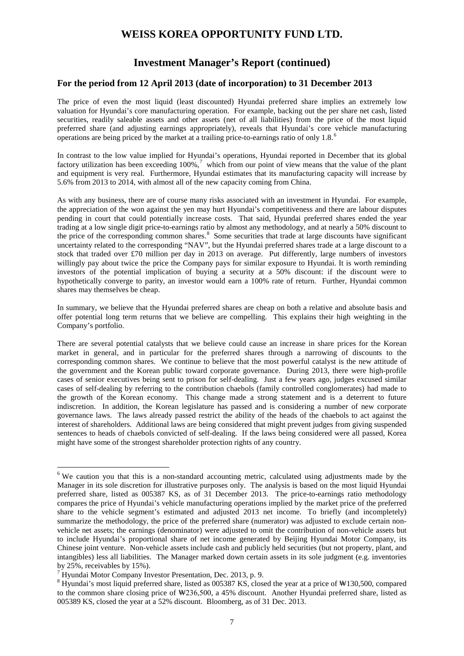# **Investment Manager's Report (continued)**

## **For the period from 12 April 2013 (date of incorporation) to 31 December 2013**

The price of even the most liquid (least discounted) Hyundai preferred share implies an extremely low valuation for Hyundai's core manufacturing operation. For example, backing out the per share net cash, listed securities, readily saleable assets and other assets (net of all liabilities) from the price of the most liquid preferred share (and adjusting earnings appropriately), reveals that Hyundai's core vehicle manufacturing operations are being priced by the market at a trailing price-to-earnings ratio of only  $1.8<sup>6</sup>$  $1.8<sup>6</sup>$  $1.8<sup>6</sup>$ 

In contrast to the low value implied for Hyundai's operations, Hyundai reported in December that its global factory utilization has been exceeding  $100\%$ , which from our point of view means that the value of the plant and equipment is very real. Furthermore, Hyundai estimates that its manufacturing capacity will increase by 5.6% from 2013 to 2014, with almost all of the new capacity coming from China.

As with any business, there are of course many risks associated with an investment in Hyundai. For example, the appreciation of the won against the yen may hurt Hyundai's competitiveness and there are labour disputes pending in court that could potentially increase costs. That said, Hyundai preferred shares ended the year trading at a low single digit price-to-earnings ratio by almost any methodology, and at nearly a 50% discount to the price of the corresponding common shares.<sup>[8](#page-7-2)</sup> Some securities that trade at large discounts have significant uncertainty related to the corresponding "NAV", but the Hyundai preferred shares trade at a large discount to a stock that traded over £70 million per day in 2013 on average. Put differently, large numbers of investors willingly pay about twice the price the Company pays for similar exposure to Hyundai. It is worth reminding investors of the potential implication of buying a security at a 50% discount: if the discount were to hypothetically converge to parity, an investor would earn a 100% rate of return. Further, Hyundai common shares may themselves be cheap.

In summary, we believe that the Hyundai preferred shares are cheap on both a relative and absolute basis and offer potential long term returns that we believe are compelling. This explains their high weighting in the Company's portfolio.

There are several potential catalysts that we believe could cause an increase in share prices for the Korean market in general, and in particular for the preferred shares through a narrowing of discounts to the corresponding common shares. We continue to believe that the most powerful catalyst is the new attitude of the government and the Korean public toward corporate governance. During 2013, there were high-profile cases of senior executives being sent to prison for self-dealing. Just a few years ago, judges excused similar cases of self-dealing by referring to the contribution chaebols (family controlled conglomerates) had made to the growth of the Korean economy. This change made a strong statement and is a deterrent to future indiscretion. In addition, the Korean legislature has passed and is considering a number of new corporate governance laws. The laws already passed restrict the ability of the heads of the chaebols to act against the interest of shareholders. Additional laws are being considered that might prevent judges from giving suspended sentences to heads of chaebols convicted of self-dealing. If the laws being considered were all passed, Korea might have some of the strongest shareholder protection rights of any country.

 $\overline{a}$ 

<span id="page-7-0"></span><sup>&</sup>lt;sup>6</sup> We caution you that this is a non-standard accounting metric, calculated using adjustments made by the Manager in its sole discretion for illustrative purposes only. The analysis is based on the most liquid Hyundai preferred share, listed as 005387 KS, as of 31 December 2013. The price-to-earnings ratio methodology compares the price of Hyundai's vehicle manufacturing operations implied by the market price of the preferred share to the vehicle segment's estimated and adjusted 2013 net income. To briefly (and incompletely) summarize the methodology, the price of the preferred share (numerator) was adjusted to exclude certain nonvehicle net assets; the earnings (denominator) were adjusted to omit the contribution of non-vehicle assets but to include Hyundai's proportional share of net income generated by Beijing Hyundai Motor Company, its Chinese joint venture. Non-vehicle assets include cash and publicly held securities (but not property, plant, and intangibles) less all liabilities. The Manager marked down certain assets in its sole judgment (e.g. inventories by 25%, receivables by 15%).<br><sup>7</sup> Hyundai Motor Company Investor Presentation, Dec. 2013, p. 9.<br><sup>8</sup> Hyundai's most liquid preferred share, listed as 005387 KS, closed the year at a price of ₩130,500, compared

<span id="page-7-1"></span>

<span id="page-7-2"></span>to the common share closing price of ₩236,500, a 45% discount. Another Hyundai preferred share, listed as 005389 KS, closed the year at a 52% discount. Bloomberg, as of 31 Dec. 2013.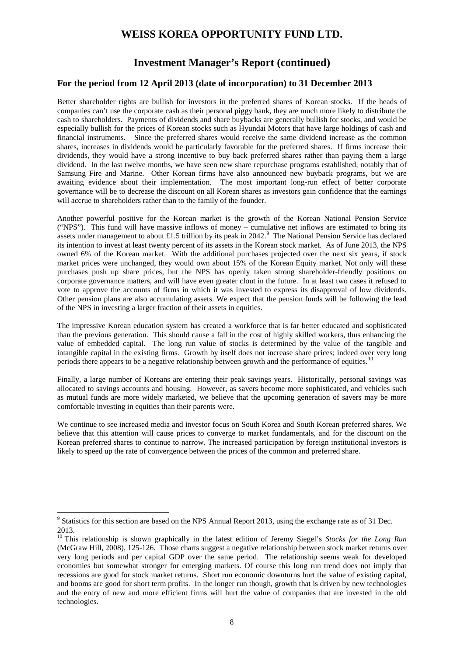# **Investment Manager's Report (continued)**

# **For the period from 12 April 2013 (date of incorporation) to 31 December 2013**

Better shareholder rights are bullish for investors in the preferred shares of Korean stocks. If the heads of companies can't use the corporate cash as their personal piggy bank, they are much more likely to distribute the cash to shareholders. Payments of dividends and share buybacks are generally bullish for stocks, and would be especially bullish for the prices of Korean stocks such as Hyundai Motors that have large holdings of cash and financial instruments. Since the preferred shares would receive the same dividend increase as the common shares, increases in dividends would be particularly favorable for the preferred shares. If firms increase their dividends, they would have a strong incentive to buy back preferred shares rather than paying them a large dividend. In the last twelve months, we have seen new share repurchase programs established, notably that of Samsung Fire and Marine. Other Korean firms have also announced new buyback programs, but we are awaiting evidence about their implementation. The most important long-run effect of better corporate governance will be to decrease the discount on all Korean shares as investors gain confidence that the earnings will accrue to shareholders rather than to the family of the founder.

Another powerful positive for the Korean market is the growth of the Korean National Pension Service ("NPS"). This fund will have massive inflows of money – cumulative net inflows are estimated to bring its assets under management to about £1.5 trillion by its peak in 2042. <sup>[9](#page-8-0)</sup> The National Pension Service has declared its intention to invest at least twenty percent of its assets in the Korean stock market. As of June 2013, the NPS owned 6% of the Korean market. With the additional purchases projected over the next six years, if stock market prices were unchanged, they would own about 15% of the Korean Equity market. Not only will these purchases push up share prices, but the NPS has openly taken strong shareholder-friendly positions on corporate governance matters, and will have even greater clout in the future. In at least two cases it refused to vote to approve the accounts of firms in which it was invested to express its disapproval of low dividends. Other pension plans are also accumulating assets. We expect that the pension funds will be following the lead of the NPS in investing a larger fraction of their assets in equities.

The impressive Korean education system has created a workforce that is far better educated and sophisticated than the previous generation. This should cause a fall in the cost of highly skilled workers, thus enhancing the value of embedded capital. The long run value of stocks is determined by the value of the tangible and intangible capital in the existing firms. Growth by itself does not increase share prices; indeed over very long periods there appears to be a negative relationship between growth and the performance of equities.<sup>[10](#page-8-1)</sup>

Finally, a large number of Koreans are entering their peak savings years. Historically, personal savings was allocated to savings accounts and housing. However, as savers become more sophisticated, and vehicles such as mutual funds are more widely marketed, we believe that the upcoming generation of savers may be more comfortable investing in equities than their parents were.

We continue to see increased media and investor focus on South Korea and South Korean preferred shares. We believe that this attention will cause prices to converge to market fundamentals, and for the discount on the Korean preferred shares to continue to narrow. The increased participation by foreign institutional investors is likely to speed up the rate of convergence between the prices of the common and preferred share.

 $\overline{a}$ 

<span id="page-8-0"></span> $9$  Statistics for this section are based on the NPS Annual Report 2013, using the exchange rate as of 31 Dec. 2013.

<span id="page-8-1"></span><sup>10</sup> This relationship is shown graphically in the latest edition of Jeremy Siegel's *Stocks for the Long Run*  (McGraw Hill, 2008), 125-126. Those charts suggest a negative relationship between stock market returns over very long periods and per capital GDP over the same period. The relationship seems weak for developed economies but somewhat stronger for emerging markets. Of course this long run trend does not imply that recessions are good for stock market returns. Short run economic downturns hurt the value of existing capital, and booms are good for short term profits. In the longer run though, growth that is driven by new technologies and the entry of new and more efficient firms will hurt the value of companies that are invested in the old technologies.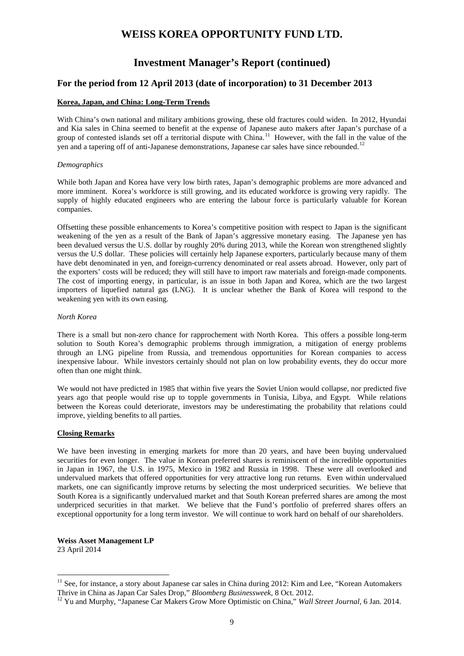# **Investment Manager's Report (continued)**

# **For the period from 12 April 2013 (date of incorporation) to 31 December 2013**

### **Korea, Japan, and China: Long-Term Trends**

With China's own national and military ambitions growing, these old fractures could widen. In 2012, Hyundai and Kia sales in China seemed to benefit at the expense of Japanese auto makers after Japan's purchase of a group of contested islands set off a territorial dispute with China.<sup>11</sup> However, with the fall in the value of the yen and a tapering off of anti-Japanese demonstrations, Japanese car sales have since rebounded.<sup>12</sup>

### *Demographics*

While both Japan and Korea have very low birth rates, Japan's demographic problems are more advanced and more imminent. Korea's workforce is still growing, and its educated workforce is growing very rapidly. The supply of highly educated engineers who are entering the labour force is particularly valuable for Korean companies.

Offsetting these possible enhancements to Korea's competitive position with respect to Japan is the significant weakening of the yen as a result of the Bank of Japan's aggressive monetary easing. The Japanese yen has been devalued versus the U.S. dollar by roughly 20% during 2013, while the Korean won strengthened slightly versus the U.S dollar. These policies will certainly help Japanese exporters, particularly because many of them have debt denominated in yen, and foreign-currency denominated or real assets abroad. However, only part of the exporters' costs will be reduced; they will still have to import raw materials and foreign-made components. The cost of importing energy, in particular, is an issue in both Japan and Korea, which are the two largest importers of liquefied natural gas (LNG). It is unclear whether the Bank of Korea will respond to the weakening yen with its own easing.

#### *North Korea*

There is a small but non-zero chance for rapprochement with North Korea. This offers a possible long-term solution to South Korea's demographic problems through immigration, a mitigation of energy problems through an LNG pipeline from Russia, and tremendous opportunities for Korean companies to access inexpensive labour. While investors certainly should not plan on low probability events, they do occur more often than one might think.

We would not have predicted in 1985 that within five years the Soviet Union would collapse, nor predicted five years ago that people would rise up to topple governments in Tunisia, Libya, and Egypt. While relations between the Koreas could deteriorate, investors may be underestimating the probability that relations could improve, yielding benefits to all parties.

#### **Closing Remarks**

We have been investing in emerging markets for more than 20 years, and have been buying undervalued securities for even longer. The value in Korean preferred shares is reminiscent of the incredible opportunities in Japan in 1967, the U.S. in 1975, Mexico in 1982 and Russia in 1998. These were all overlooked and undervalued markets that offered opportunities for very attractive long run returns. Even within undervalued markets, one can significantly improve returns by selecting the most underpriced securities. We believe that South Korea is a significantly undervalued market and that South Korean preferred shares are among the most underpriced securities in that market. We believe that the Fund's portfolio of preferred shares offers an exceptional opportunity for a long term investor. We will continue to work hard on behalf of our shareholders.

**Weiss Asset Management LP** 23 April 2014

 $\overline{a}$ 

<span id="page-9-0"></span><sup>&</sup>lt;sup>11</sup> See, for instance, a story about Japanese car sales in China during 2012: Kim and Lee, "Korean Automakers Thrive in China as Japan Car Sales Drop." *Bloomberg Businessweek*, 8 Oct. 2012.

<span id="page-9-1"></span><sup>&</sup>lt;sup>12</sup> Yu and Murphy, "Japanese Car Makers Grow More Optimistic on China," *Wall Street Journal*, 6 Jan. 2014.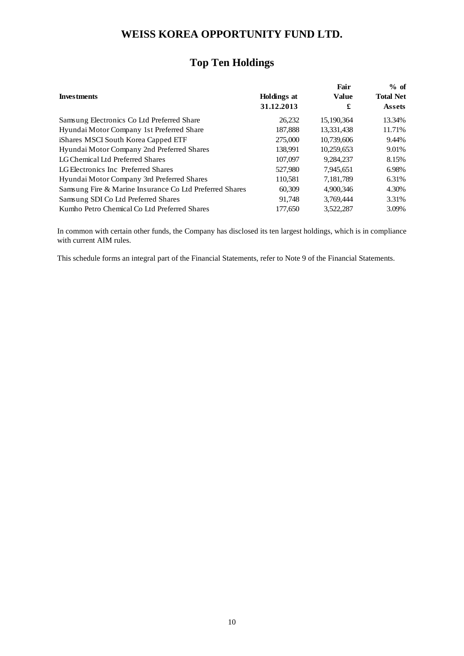# **Top Ten Holdings**

|                                                         |             | Fair         | $%$ of           |
|---------------------------------------------------------|-------------|--------------|------------------|
| <b>Investments</b>                                      | Holdings at | <b>Value</b> | <b>Total Net</b> |
|                                                         | 31.12.2013  | £            | <b>Assets</b>    |
| Samsung Electronics Co Ltd Preferred Share              | 26,232      | 15,190,364   | 13.34%           |
| Hyundai Motor Company 1st Preferred Share               | 187,888     | 13,331,438   | 11.71%           |
| iShares MSCI South Korea Capped ETF                     | 275,000     | 10.739.606   | 9.44%            |
| Hyundai Motor Company 2nd Preferred Shares              | 138.991     | 10.259.653   | 9.01%            |
| LG Chemical Ltd Preferred Shares                        | 107,097     | 9,284,237    | 8.15%            |
| LG Electronics Inc Preferred Shares                     | 527,980     | 7.945.651    | 6.98%            |
| Hyundai Motor Company 3rd Preferred Shares              | 110.581     | 7.181.789    | 6.31%            |
| Samsung Fire & Marine Insurance Co Ltd Preferred Shares | 60.309      | 4.900.346    | 4.30%            |
| Samsung SDI Co Ltd Preferred Shares                     | 91.748      | 3.769.444    | 3.31%            |
| Kumho Petro Chemical Co Ltd Preferred Shares            | 177,650     | 3,522,287    | 3.09%            |

In common with certain other funds, the Company has disclosed its ten largest holdings, which is in compliance with current AIM rules.

This schedule forms an integral part of the Financial Statements, refer to Note 9 of the Financial Statements.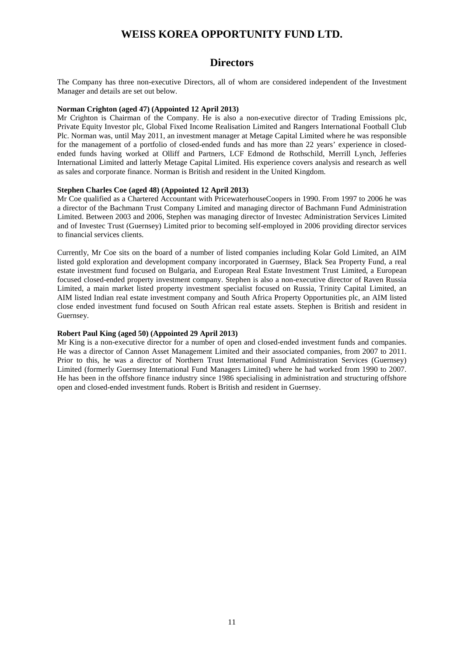# **Directors**

The Company has three non-executive Directors, all of whom are considered independent of the Investment Manager and details are set out below.

### **Norman Crighton (aged 47) (Appointed 12 April 2013)**

Mr Crighton is Chairman of the Company. He is also a non-executive director of Trading Emissions plc, Private Equity Investor plc, Global Fixed Income Realisation Limited and Rangers International Football Club Plc. Norman was, until May 2011, an investment manager at Metage Capital Limited where he was responsible for the management of a portfolio of closed-ended funds and has more than 22 years' experience in closedended funds having worked at Olliff and Partners, LCF Edmond de Rothschild, Merrill Lynch, Jefferies International Limited and latterly Metage Capital Limited. His experience covers analysis and research as well as sales and corporate finance. Norman is British and resident in the United Kingdom.

### **Stephen Charles Coe (aged 48) (Appointed 12 April 2013)**

Mr Coe qualified as a Chartered Accountant with PricewaterhouseCoopers in 1990. From 1997 to 2006 he was a director of the Bachmann Trust Company Limited and managing director of Bachmann Fund Administration Limited. Between 2003 and 2006, Stephen was managing director of Investec Administration Services Limited and of Investec Trust (Guernsey) Limited prior to becoming self-employed in 2006 providing director services to financial services clients.

Currently, Mr Coe sits on the board of a number of listed companies including Kolar Gold Limited, an AIM listed gold exploration and development company incorporated in Guernsey, Black Sea Property Fund, a real estate investment fund focused on Bulgaria, and European Real Estate Investment Trust Limited, a European focused closed-ended property investment company. Stephen is also a non-executive director of Raven Russia Limited, a main market listed property investment specialist focused on Russia, Trinity Capital Limited, an AIM listed Indian real estate investment company and South Africa Property Opportunities plc, an AIM listed close ended investment fund focused on South African real estate assets. Stephen is British and resident in Guernsey.

## **Robert Paul King (aged 50) (Appointed 29 April 2013)**

Mr King is a non-executive director for a number of open and closed-ended investment funds and companies. He was a director of Cannon Asset Management Limited and their associated companies, from 2007 to 2011. Prior to this, he was a director of Northern Trust International Fund Administration Services (Guernsey) Limited (formerly Guernsey International Fund Managers Limited) where he had worked from 1990 to 2007. He has been in the offshore finance industry since 1986 specialising in administration and structuring offshore open and closed-ended investment funds. Robert is British and resident in Guernsey.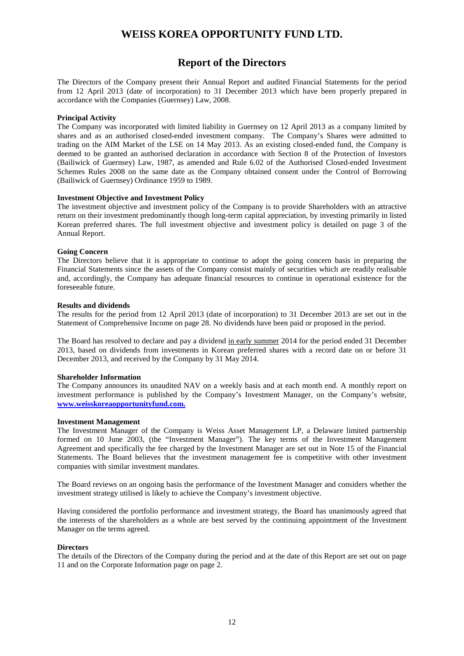# **Report of the Directors**

The Directors of the Company present their Annual Report and audited Financial Statements for the period from 12 April 2013 (date of incorporation) to 31 December 2013 which have been properly prepared in accordance with the Companies (Guernsey) Law, 2008.

## **Principal Activity**

The Company was incorporated with limited liability in Guernsey on 12 April 2013 as a company limited by shares and as an authorised closed-ended investment company. The Company's Shares were admitted to trading on the AIM Market of the LSE on 14 May 2013. As an existing closed-ended fund, the Company is deemed to be granted an authorised declaration in accordance with Section 8 of the Protection of Investors (Bailiwick of Guernsey) Law, 1987, as amended and Rule 6.02 of the Authorised Closed-ended Investment Schemes Rules 2008 on the same date as the Company obtained consent under the Control of Borrowing (Bailiwick of Guernsey) Ordinance 1959 to 1989.

## **Investment Objective and Investment Policy**

The investment objective and investment policy of the Company is to provide Shareholders with an attractive return on their investment predominantly though long-term capital appreciation, by investing primarily in listed Korean preferred shares. The full investment objective and investment policy is detailed on page 3 of the Annual Report.

### **Going Concern**

The Directors believe that it is appropriate to continue to adopt the going concern basis in preparing the Financial Statements since the assets of the Company consist mainly of securities which are readily realisable and, accordingly, the Company has adequate financial resources to continue in operational existence for the foreseeable future.

### **Results and dividends**

The results for the period from 12 April 2013 (date of incorporation) to 31 December 2013 are set out in the Statement of Comprehensive Income on page 28. No dividends have been paid or proposed in the period.

The Board has resolved to declare and pay a dividend in early summer 2014 for the period ended 31 December 2013, based on dividends from investments in Korean preferred shares with a record date on or before 31 December 2013, and received by the Company by 31 May 2014.

## **Shareholder Information**

The Company announces its unaudited NAV on a weekly basis and at each month end. A monthly report on investment performance is published by the Company's Investment Manager, on the Company's website, **[www.weisskoreaopportunityfund.com.](http://www.weisskoreaopportunityfund.com./)**

#### **Investment Management**

The Investment Manager of the Company is Weiss Asset Management LP, a Delaware limited partnership formed on 10 June 2003, (the "Investment Manager"). The key terms of the Investment Management Agreement and specifically the fee charged by the Investment Manager are set out in Note 15 of the Financial Statements. The Board believes that the investment management fee is competitive with other investment companies with similar investment mandates.

The Board reviews on an ongoing basis the performance of the Investment Manager and considers whether the investment strategy utilised is likely to achieve the Company's investment objective.

Having considered the portfolio performance and investment strategy, the Board has unanimously agreed that the interests of the shareholders as a whole are best served by the continuing appointment of the Investment Manager on the terms agreed.

#### **Directors**

The details of the Directors of the Company during the period and at the date of this Report are set out on page 11 and on the Corporate Information page on page 2.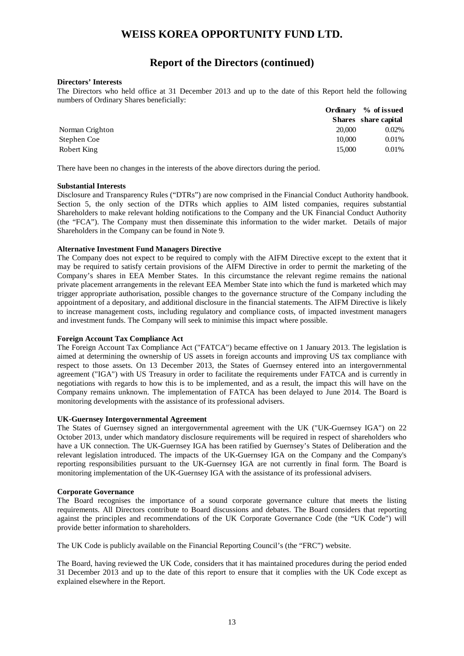# **Report of the Directors (continued)**

## **Directors' Interests**

The Directors who held office at 31 December 2013 and up to the date of this Report held the following numbers of Ordinary Shares beneficially:

|                 |        | Ordinary % of issued |
|-----------------|--------|----------------------|
|                 |        | Shares share capital |
| Norman Crighton | 20,000 | $0.02\%$             |
| Stephen Coe     | 10,000 | 0.01%                |
| Robert King     | 15,000 | 0.01%                |

There have been no changes in the interests of the above directors during the period.

## **Substantial Interests**

Disclosure and Transparency Rules ("DTRs") are now comprised in the Financial Conduct Authority handbook. Section 5, the only section of the DTRs which applies to AIM listed companies, requires substantial Shareholders to make relevant holding notifications to the Company and the UK Financial Conduct Authority (the "FCA"). The Company must then disseminate this information to the wider market. Details of major Shareholders in the Company can be found in Note 9.

### **Alternative Investment Fund Managers Directive**

The Company does not expect to be required to comply with the AIFM Directive except to the extent that it may be required to satisfy certain provisions of the AIFM Directive in order to permit the marketing of the Company's shares in EEA Member States. In this circumstance the relevant regime remains the national private placement arrangements in the relevant EEA Member State into which the fund is marketed which may trigger appropriate authorisation, possible changes to the governance structure of the Company including the appointment of a depositary, and additional disclosure in the financial statements. The AIFM Directive is likely to increase management costs, including regulatory and compliance costs, of impacted investment managers and investment funds. The Company will seek to minimise this impact where possible.

#### **Foreign Account Tax Compliance Act**

The Foreign Account Tax Compliance Act ("FATCA") became effective on 1 January 2013. The legislation is aimed at determining the ownership of US assets in foreign accounts and improving US tax compliance with respect to those assets. On 13 December 2013, the States of Guernsey entered into an intergovernmental agreement ("IGA") with US Treasury in order to facilitate the requirements under FATCA and is currently in negotiations with regards to how this is to be implemented, and as a result, the impact this will have on the Company remains unknown. The implementation of FATCA has been delayed to June 2014. The Board is monitoring developments with the assistance of its professional advisers.

#### **UK-Guernsey Intergovernmental Agreement**

The States of Guernsey signed an intergovernmental agreement with the UK ("UK-Guernsey IGA") on 22 October 2013, under which mandatory disclosure requirements will be required in respect of shareholders who have a UK connection. The UK-Guernsey IGA has been ratified by Guernsey's States of Deliberation and the relevant legislation introduced. The impacts of the UK-Guernsey IGA on the Company and the Company's reporting responsibilities pursuant to the UK-Guernsey IGA are not currently in final form. The Board is monitoring implementation of the UK-Guernsey IGA with the assistance of its professional advisers.

#### **Corporate Governance**

The Board recognises the importance of a sound corporate governance culture that meets the listing requirements. All Directors contribute to Board discussions and debates. The Board considers that reporting against the principles and recommendations of the UK Corporate Governance Code (the "UK Code") will provide better information to shareholders.

The UK Code is publicly available on the Financial Reporting Council's (the "FRC") website.

The Board, having reviewed the UK Code, considers that it has maintained procedures during the period ended 31 December 2013 and up to the date of this report to ensure that it complies with the UK Code except as explained elsewhere in the Report.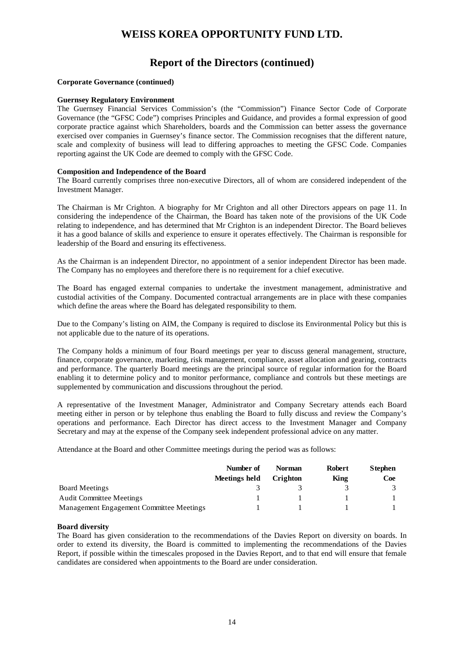# **Report of the Directors (continued)**

### **Corporate Governance (continued)**

### **Guernsey Regulatory Environment**

The Guernsey Financial Services Commission's (the "Commission") Finance Sector Code of Corporate Governance (the "GFSC Code") comprises Principles and Guidance, and provides a formal expression of good corporate practice against which Shareholders, boards and the Commission can better assess the governance exercised over companies in Guernsey's finance sector. The Commission recognises that the different nature, scale and complexity of business will lead to differing approaches to meeting the GFSC Code. Companies reporting against the UK Code are deemed to comply with the GFSC Code.

### **Composition and Independence of the Board**

The Board currently comprises three non-executive Directors, all of whom are considered independent of the Investment Manager.

The Chairman is Mr Crighton. A biography for Mr Crighton and all other Directors appears on page 11. In considering the independence of the Chairman, the Board has taken note of the provisions of the UK Code relating to independence, and has determined that Mr Crighton is an independent Director. The Board believes it has a good balance of skills and experience to ensure it operates effectively. The Chairman is responsible for leadership of the Board and ensuring its effectiveness.

As the Chairman is an independent Director, no appointment of a senior independent Director has been made. The Company has no employees and therefore there is no requirement for a chief executive.

The Board has engaged external companies to undertake the investment management, administrative and custodial activities of the Company. Documented contractual arrangements are in place with these companies which define the areas where the Board has delegated responsibility to them.

Due to the Company's listing on AIM, the Company is required to disclose its Environmental Policy but this is not applicable due to the nature of its operations.

The Company holds a minimum of four Board meetings per year to discuss general management, structure, finance, corporate governance, marketing, risk management, compliance, asset allocation and gearing, contracts and performance. The quarterly Board meetings are the principal source of regular information for the Board enabling it to determine policy and to monitor performance, compliance and controls but these meetings are supplemented by communication and discussions throughout the period.

A representative of the Investment Manager, Administrator and Company Secretary attends each Board meeting either in person or by telephone thus enabling the Board to fully discuss and review the Company's operations and performance. Each Director has direct access to the Investment Manager and Company Secretary and may at the expense of the Company seek independent professional advice on any matter.

Attendance at the Board and other Committee meetings during the period was as follows:

|                                          | Number of     | <b>Norman</b> | <b>Robert</b> | <b>Stephen</b> |
|------------------------------------------|---------------|---------------|---------------|----------------|
|                                          | Meetings held | Crighton      | King          | <b>Coe</b>     |
| Board Meetings                           |               |               |               |                |
| <b>Audit Committee Meetings</b>          |               |               |               |                |
| Management Engagement Committee Meetings |               |               |               |                |

## **Board diversity**

The Board has given consideration to the recommendations of the Davies Report on diversity on boards. In order to extend its diversity, the Board is committed to implementing the recommendations of the Davies Report, if possible within the timescales proposed in the Davies Report, and to that end will ensure that female candidates are considered when appointments to the Board are under consideration.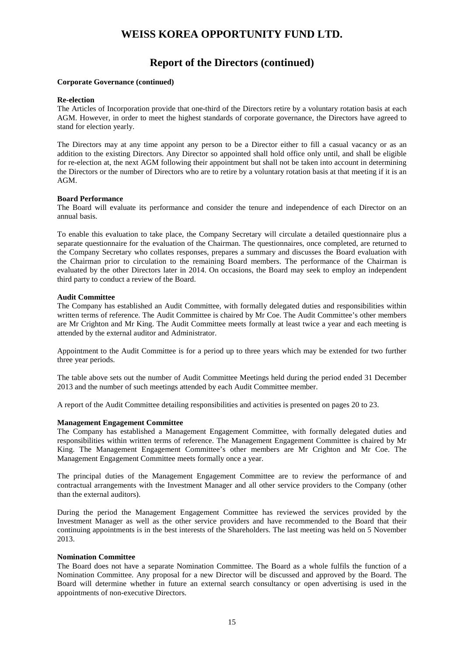# **Report of the Directors (continued)**

#### **Corporate Governance (continued)**

#### **Re-election**

The Articles of Incorporation provide that one-third of the Directors retire by a voluntary rotation basis at each AGM. However, in order to meet the highest standards of corporate governance, the Directors have agreed to stand for election yearly.

The Directors may at any time appoint any person to be a Director either to fill a casual vacancy or as an addition to the existing Directors. Any Director so appointed shall hold office only until, and shall be eligible for re-election at, the next AGM following their appointment but shall not be taken into account in determining the Directors or the number of Directors who are to retire by a voluntary rotation basis at that meeting if it is an AGM.

### **Board Performance**

The Board will evaluate its performance and consider the tenure and independence of each Director on an annual basis.

To enable this evaluation to take place, the Company Secretary will circulate a detailed questionnaire plus a separate questionnaire for the evaluation of the Chairman. The questionnaires, once completed, are returned to the Company Secretary who collates responses, prepares a summary and discusses the Board evaluation with the Chairman prior to circulation to the remaining Board members. The performance of the Chairman is evaluated by the other Directors later in 2014. On occasions, the Board may seek to employ an independent third party to conduct a review of the Board.

### **Audit Committee**

The Company has established an Audit Committee, with formally delegated duties and responsibilities within written terms of reference. The Audit Committee is chaired by Mr Coe. The Audit Committee's other members are Mr Crighton and Mr King. The Audit Committee meets formally at least twice a year and each meeting is attended by the external auditor and Administrator.

Appointment to the Audit Committee is for a period up to three years which may be extended for two further three year periods.

The table above sets out the number of Audit Committee Meetings held during the period ended 31 December 2013 and the number of such meetings attended by each Audit Committee member.

A report of the Audit Committee detailing responsibilities and activities is presented on pages 20 to 23.

#### **Management Engagement Committee**

The Company has established a Management Engagement Committee, with formally delegated duties and responsibilities within written terms of reference. The Management Engagement Committee is chaired by Mr King. The Management Engagement Committee's other members are Mr Crighton and Mr Coe. The Management Engagement Committee meets formally once a year.

The principal duties of the Management Engagement Committee are to review the performance of and contractual arrangements with the Investment Manager and all other service providers to the Company (other than the external auditors).

During the period the Management Engagement Committee has reviewed the services provided by the Investment Manager as well as the other service providers and have recommended to the Board that their continuing appointments is in the best interests of the Shareholders. The last meeting was held on 5 November 2013.

## **Nomination Committee**

The Board does not have a separate Nomination Committee. The Board as a whole fulfils the function of a Nomination Committee. Any proposal for a new Director will be discussed and approved by the Board. The Board will determine whether in future an external search consultancy or open advertising is used in the appointments of non-executive Directors.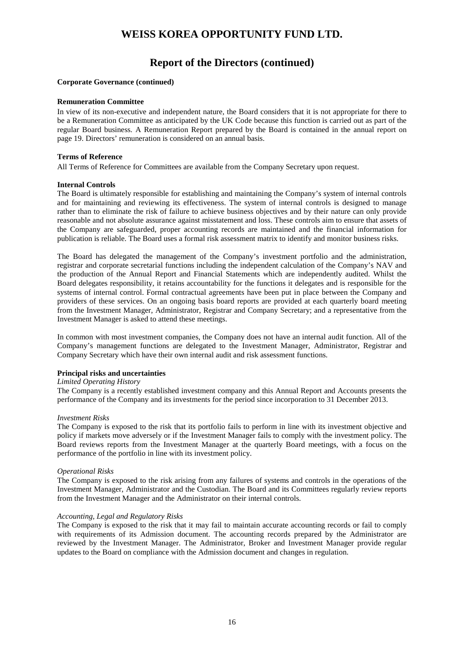# **Report of the Directors (continued)**

#### **Corporate Governance (continued)**

### **Remuneration Committee**

In view of its non-executive and independent nature, the Board considers that it is not appropriate for there to be a Remuneration Committee as anticipated by the UK Code because this function is carried out as part of the regular Board business. A Remuneration Report prepared by the Board is contained in the annual report on page 19. Directors' remuneration is considered on an annual basis.

### **Terms of Reference**

All Terms of Reference for Committees are available from the Company Secretary upon request.

### **Internal Controls**

The Board is ultimately responsible for establishing and maintaining the Company's system of internal controls and for maintaining and reviewing its effectiveness. The system of internal controls is designed to manage rather than to eliminate the risk of failure to achieve business objectives and by their nature can only provide reasonable and not absolute assurance against misstatement and loss. These controls aim to ensure that assets of the Company are safeguarded, proper accounting records are maintained and the financial information for publication is reliable. The Board uses a formal risk assessment matrix to identify and monitor business risks.

The Board has delegated the management of the Company's investment portfolio and the administration, registrar and corporate secretarial functions including the independent calculation of the Company's NAV and the production of the Annual Report and Financial Statements which are independently audited. Whilst the Board delegates responsibility, it retains accountability for the functions it delegates and is responsible for the systems of internal control. Formal contractual agreements have been put in place between the Company and providers of these services. On an ongoing basis board reports are provided at each quarterly board meeting from the Investment Manager, Administrator, Registrar and Company Secretary; and a representative from the Investment Manager is asked to attend these meetings.

In common with most investment companies, the Company does not have an internal audit function. All of the Company's management functions are delegated to the Investment Manager, Administrator, Registrar and Company Secretary which have their own internal audit and risk assessment functions.

## **Principal risks and uncertainties**

### *Limited Operating History*

The Company is a recently established investment company and this Annual Report and Accounts presents the performance of the Company and its investments for the period since incorporation to 31 December 2013.

#### *Investment Risks*

The Company is exposed to the risk that its portfolio fails to perform in line with its investment objective and policy if markets move adversely or if the Investment Manager fails to comply with the investment policy. The Board reviews reports from the Investment Manager at the quarterly Board meetings, with a focus on the performance of the portfolio in line with its investment policy.

#### *Operational Risks*

The Company is exposed to the risk arising from any failures of systems and controls in the operations of the Investment Manager, Administrator and the Custodian. The Board and its Committees regularly review reports from the Investment Manager and the Administrator on their internal controls.

#### *Accounting, Legal and Regulatory Risks*

The Company is exposed to the risk that it may fail to maintain accurate accounting records or fail to comply with requirements of its Admission document. The accounting records prepared by the Administrator are reviewed by the Investment Manager. The Administrator, Broker and Investment Manager provide regular updates to the Board on compliance with the Admission document and changes in regulation.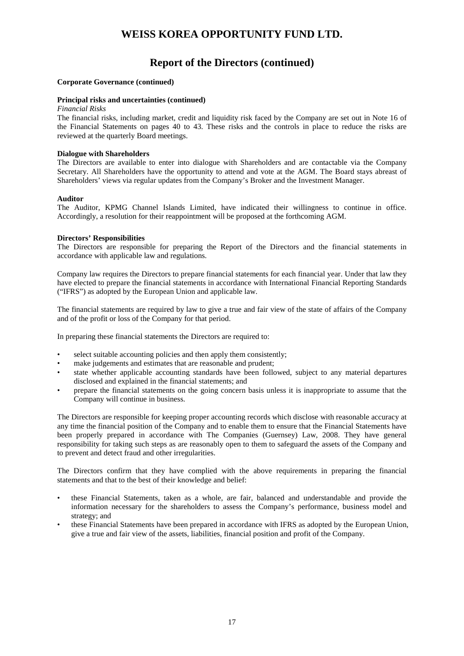# **Report of the Directors (continued)**

#### **Corporate Governance (continued)**

### **Principal risks and uncertainties (continued)**

#### *Financial Risks*

The financial risks, including market, credit and liquidity risk faced by the Company are set out in Note 16 of the Financial Statements on pages 40 to 43. These risks and the controls in place to reduce the risks are reviewed at the quarterly Board meetings.

### **Dialogue with Shareholders**

The Directors are available to enter into dialogue with Shareholders and are contactable via the Company Secretary. All Shareholders have the opportunity to attend and vote at the AGM. The Board stays abreast of Shareholders' views via regular updates from the Company's Broker and the Investment Manager.

### **Auditor**

The Auditor, KPMG Channel Islands Limited, have indicated their willingness to continue in office. Accordingly, a resolution for their reappointment will be proposed at the forthcoming AGM.

### **Directors' Responsibilities**

The Directors are responsible for preparing the Report of the Directors and the financial statements in accordance with applicable law and regulations.

Company law requires the Directors to prepare financial statements for each financial year. Under that law they have elected to prepare the financial statements in accordance with International Financial Reporting Standards ("IFRS") as adopted by the European Union and applicable law.

The financial statements are required by law to give a true and fair view of the state of affairs of the Company and of the profit or loss of the Company for that period.

In preparing these financial statements the Directors are required to:

- select suitable accounting policies and then apply them consistently;
- make judgements and estimates that are reasonable and prudent;
- state whether applicable accounting standards have been followed, subject to any material departures disclosed and explained in the financial statements; and
- prepare the financial statements on the going concern basis unless it is inappropriate to assume that the Company will continue in business.

The Directors are responsible for keeping proper accounting records which disclose with reasonable accuracy at any time the financial position of the Company and to enable them to ensure that the Financial Statements have been properly prepared in accordance with The Companies (Guernsey) Law, 2008. They have general responsibility for taking such steps as are reasonably open to them to safeguard the assets of the Company and to prevent and detect fraud and other irregularities.

The Directors confirm that they have complied with the above requirements in preparing the financial statements and that to the best of their knowledge and belief:

- these Financial Statements, taken as a whole, are fair, balanced and understandable and provide the information necessary for the shareholders to assess the Company's performance, business model and strategy; and
- these Financial Statements have been prepared in accordance with IFRS as adopted by the European Union, give a true and fair view of the assets, liabilities, financial position and profit of the Company.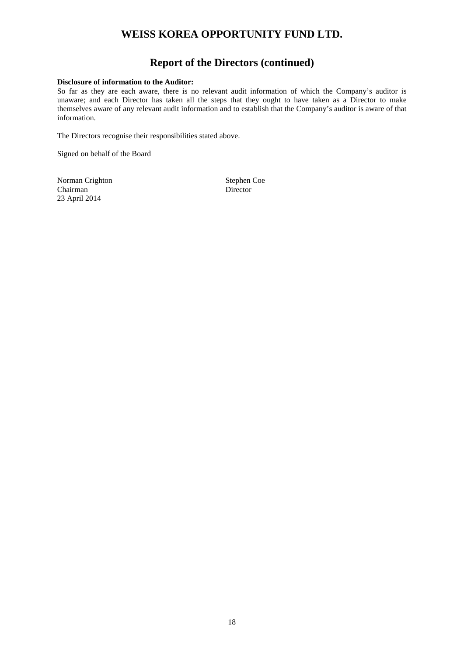# **Report of the Directors (continued)**

## **Disclosure of information to the Auditor:**

So far as they are each aware, there is no relevant audit information of which the Company's auditor is unaware; and each Director has taken all the steps that they ought to have taken as a Director to make themselves aware of any relevant audit information and to establish that the Company's auditor is aware of that information.

The Directors recognise their responsibilities stated above.

Signed on behalf of the Board

Norman Crighton Stephen Coe<br>Chairman Director Chairman 23 April 2014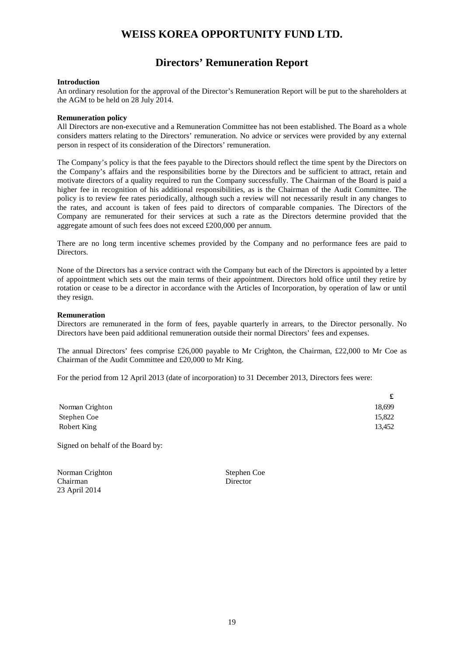# **Directors' Remuneration Report**

### **Introduction**

An ordinary resolution for the approval of the Director's Remuneration Report will be put to the shareholders at the AGM to be held on 28 July 2014.

### **Remuneration policy**

All Directors are non-executive and a Remuneration Committee has not been established. The Board as a whole considers matters relating to the Directors' remuneration. No advice or services were provided by any external person in respect of its consideration of the Directors' remuneration.

The Company's policy is that the fees payable to the Directors should reflect the time spent by the Directors on the Company's affairs and the responsibilities borne by the Directors and be sufficient to attract, retain and motivate directors of a quality required to run the Company successfully. The Chairman of the Board is paid a higher fee in recognition of his additional responsibilities, as is the Chairman of the Audit Committee. The policy is to review fee rates periodically, although such a review will not necessarily result in any changes to the rates, and account is taken of fees paid to directors of comparable companies. The Directors of the Company are remunerated for their services at such a rate as the Directors determine provided that the aggregate amount of such fees does not exceed £200,000 per annum.

There are no long term incentive schemes provided by the Company and no performance fees are paid to Directors.

None of the Directors has a service contract with the Company but each of the Directors is appointed by a letter of appointment which sets out the main terms of their appointment. Directors hold office until they retire by rotation or cease to be a director in accordance with the Articles of Incorporation, by operation of law or until they resign.

### **Remuneration**

Directors are remunerated in the form of fees, payable quarterly in arrears, to the Director personally. No Directors have been paid additional remuneration outside their normal Directors' fees and expenses.

The annual Directors' fees comprise £26,000 payable to Mr Crighton, the Chairman, £22,000 to Mr Coe as Chairman of the Audit Committee and £20,000 to Mr King.

For the period from 12 April 2013 (date of incorporation) to 31 December 2013, Directors fees were:

| Norman Crighton | 18,699 |
|-----------------|--------|
| Stephen Coe     | 15,822 |
| Robert King     | 13,452 |
|                 |        |

Signed on behalf of the Board by:

Norman Crighton Stephen Coe<br>
Chairman Director<br>
Director Chairman 23 April 2014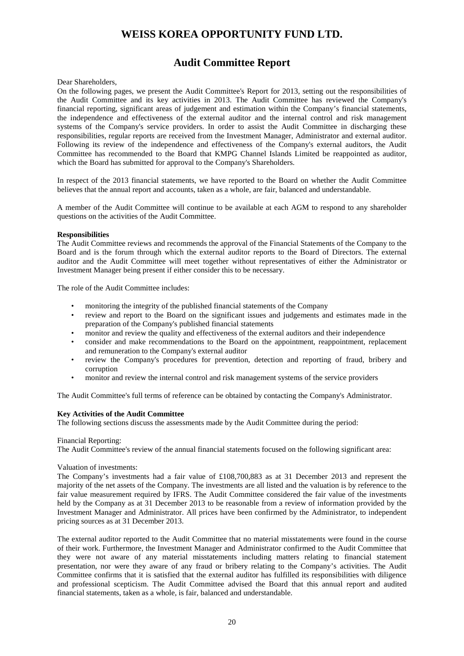# **Audit Committee Report**

## Dear Shareholders,

On the following pages, we present the Audit Committee's Report for 2013, setting out the responsibilities of the Audit Committee and its key activities in 2013. The Audit Committee has reviewed the Company's financial reporting, significant areas of judgement and estimation within the Company's financial statements, the independence and effectiveness of the external auditor and the internal control and risk management systems of the Company's service providers. In order to assist the Audit Committee in discharging these responsibilities, regular reports are received from the Investment Manager, Administrator and external auditor. Following its review of the independence and effectiveness of the Company's external auditors, the Audit Committee has recommended to the Board that KMPG Channel Islands Limited be reappointed as auditor, which the Board has submitted for approval to the Company's Shareholders.

In respect of the 2013 financial statements, we have reported to the Board on whether the Audit Committee believes that the annual report and accounts, taken as a whole, are fair, balanced and understandable.

A member of the Audit Committee will continue to be available at each AGM to respond to any shareholder questions on the activities of the Audit Committee.

### **Responsibilities**

The Audit Committee reviews and recommends the approval of the Financial Statements of the Company to the Board and is the forum through which the external auditor reports to the Board of Directors. The external auditor and the Audit Committee will meet together without representatives of either the Administrator or Investment Manager being present if either consider this to be necessary.

The role of the Audit Committee includes:

- monitoring the integrity of the published financial statements of the Company
- review and report to the Board on the significant issues and judgements and estimates made in the preparation of the Company's published financial statements
- monitor and review the quality and effectiveness of the external auditors and their independence
- consider and make recommendations to the Board on the appointment, reappointment, replacement and remuneration to the Company's external auditor
- review the Company's procedures for prevention, detection and reporting of fraud, bribery and corruption
- monitor and review the internal control and risk management systems of the service providers

The Audit Committee's full terms of reference can be obtained by contacting the Company's Administrator.

## **Key Activities of the Audit Committee**

The following sections discuss the assessments made by the Audit Committee during the period:

#### Financial Reporting:

The Audit Committee's review of the annual financial statements focused on the following significant area:

#### Valuation of investments:

The Company's investments had a fair value of £108,700,883 as at 31 December 2013 and represent the majority of the net assets of the Company. The investments are all listed and the valuation is by reference to the fair value measurement required by IFRS. The Audit Committee considered the fair value of the investments held by the Company as at 31 December 2013 to be reasonable from a review of information provided by the Investment Manager and Administrator. All prices have been confirmed by the Administrator, to independent pricing sources as at 31 December 2013.

The external auditor reported to the Audit Committee that no material misstatements were found in the course of their work. Furthermore, the Investment Manager and Administrator confirmed to the Audit Committee that they were not aware of any material misstatements including matters relating to financial statement presentation, nor were they aware of any fraud or bribery relating to the Company's activities. The Audit Committee confirms that it is satisfied that the external auditor has fulfilled its responsibilities with diligence and professional scepticism. The Audit Committee advised the Board that this annual report and audited financial statements, taken as a whole, is fair, balanced and understandable.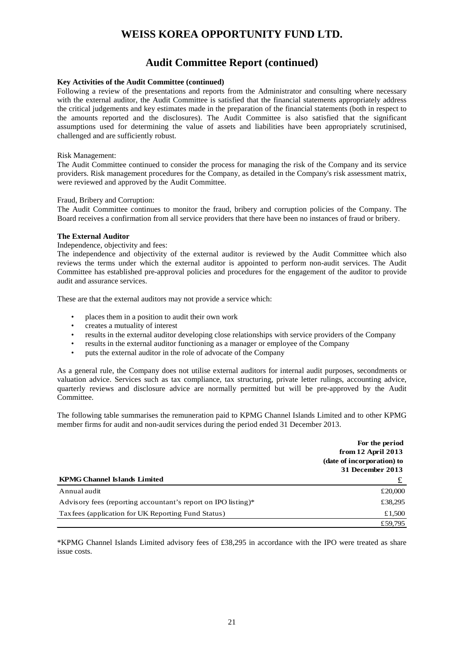# **Audit Committee Report (continued)**

## **Key Activities of the Audit Committee (continued)**

Following a review of the presentations and reports from the Administrator and consulting where necessary with the external auditor, the Audit Committee is satisfied that the financial statements appropriately address the critical judgements and key estimates made in the preparation of the financial statements (both in respect to the amounts reported and the disclosures). The Audit Committee is also satisfied that the significant assumptions used for determining the value of assets and liabilities have been appropriately scrutinised, challenged and are sufficiently robust.

#### Risk Management:

The Audit Committee continued to consider the process for managing the risk of the Company and its service providers. Risk management procedures for the Company, as detailed in the Company's risk assessment matrix, were reviewed and approved by the Audit Committee.

### Fraud, Bribery and Corruption:

The Audit Committee continues to monitor the fraud, bribery and corruption policies of the Company. The Board receives a confirmation from all service providers that there have been no instances of fraud or bribery.

### **The External Auditor**

## Independence, objectivity and fees:

The independence and objectivity of the external auditor is reviewed by the Audit Committee which also reviews the terms under which the external auditor is appointed to perform non-audit services. The Audit Committee has established pre-approval policies and procedures for the engagement of the auditor to provide audit and assurance services.

These are that the external auditors may not provide a service which:

- places them in a position to audit their own work
- creates a mutuality of interest
- results in the external auditor developing close relationships with service providers of the Company
- results in the external auditor functioning as a manager or employee of the Company
- puts the external auditor in the role of advocate of the Company

As a general rule, the Company does not utilise external auditors for internal audit purposes, secondments or valuation advice. Services such as tax compliance, tax structuring, private letter rulings, accounting advice, quarterly reviews and disclosure advice are normally permitted but will be pre-approved by the Audit Committee.

The following table summarises the remuneration paid to KPMG Channel Islands Limited and to other KPMG member firms for audit and non-audit services during the period ended 31 December 2013.

|                                                               | For the period             |  |
|---------------------------------------------------------------|----------------------------|--|
|                                                               | from $12$ April $2013$     |  |
|                                                               | (date of incorporation) to |  |
|                                                               | <b>31 December 2013</b>    |  |
| <b>KPMG Channel Islands Limited</b>                           |                            |  |
| Annual audit                                                  | £20,000                    |  |
| Advisory fees (reporting accountant's report on IPO listing)* | £38,295                    |  |
| Tax fees (application for UK Reporting Fund Status)           | £1,500                     |  |
|                                                               | £59,795                    |  |

\*KPMG Channel Islands Limited advisory fees of £38,295 in accordance with the IPO were treated as share issue costs.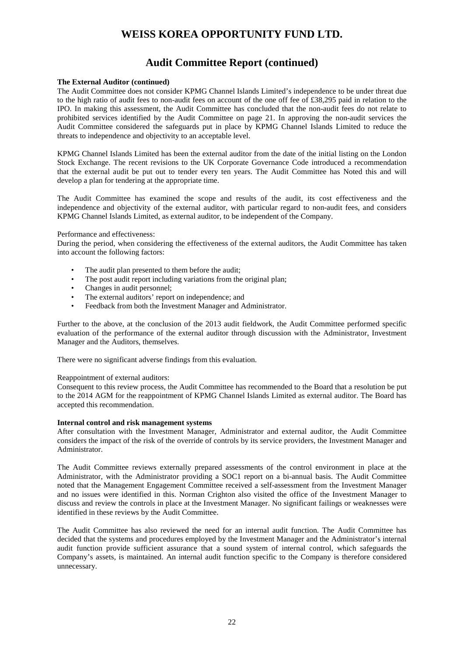# **Audit Committee Report (continued)**

## **The External Auditor (continued)**

The Audit Committee does not consider KPMG Channel Islands Limited's independence to be under threat due to the high ratio of audit fees to non-audit fees on account of the one off fee of £38,295 paid in relation to the IPO. In making this assessment, the Audit Committee has concluded that the non-audit fees do not relate to prohibited services identified by the Audit Committee on page 21. In approving the non-audit services the Audit Committee considered the safeguards put in place by KPMG Channel Islands Limited to reduce the threats to independence and objectivity to an acceptable level.

KPMG Channel Islands Limited has been the external auditor from the date of the initial listing on the London Stock Exchange. The recent revisions to the UK Corporate Governance Code introduced a recommendation that the external audit be put out to tender every ten years. The Audit Committee has Noted this and will develop a plan for tendering at the appropriate time.

The Audit Committee has examined the scope and results of the audit, its cost effectiveness and the independence and objectivity of the external auditor, with particular regard to non-audit fees, and considers KPMG Channel Islands Limited, as external auditor, to be independent of the Company.

### Performance and effectiveness:

During the period, when considering the effectiveness of the external auditors, the Audit Committee has taken into account the following factors:

- The audit plan presented to them before the audit;
- The post audit report including variations from the original plan;
- Changes in audit personnel;
- The external auditors' report on independence; and
- Feedback from both the Investment Manager and Administrator.

Further to the above, at the conclusion of the 2013 audit fieldwork, the Audit Committee performed specific evaluation of the performance of the external auditor through discussion with the Administrator, Investment Manager and the Auditors, themselves.

There were no significant adverse findings from this evaluation.

#### Reappointment of external auditors:

Consequent to this review process, the Audit Committee has recommended to the Board that a resolution be put to the 2014 AGM for the reappointment of KPMG Channel Islands Limited as external auditor. The Board has accepted this recommendation.

#### **Internal control and risk management systems**

After consultation with the Investment Manager, Administrator and external auditor, the Audit Committee considers the impact of the risk of the override of controls by its service providers, the Investment Manager and Administrator.

The Audit Committee reviews externally prepared assessments of the control environment in place at the Administrator, with the Administrator providing a SOC1 report on a bi-annual basis. The Audit Committee noted that the Management Engagement Committee received a self-assessment from the Investment Manager and no issues were identified in this. Norman Crighton also visited the office of the Investment Manager to discuss and review the controls in place at the Investment Manager. No significant failings or weaknesses were identified in these reviews by the Audit Committee.

The Audit Committee has also reviewed the need for an internal audit function. The Audit Committee has decided that the systems and procedures employed by the Investment Manager and the Administrator's internal audit function provide sufficient assurance that a sound system of internal control, which safeguards the Company's assets, is maintained. An internal audit function specific to the Company is therefore considered unnecessary.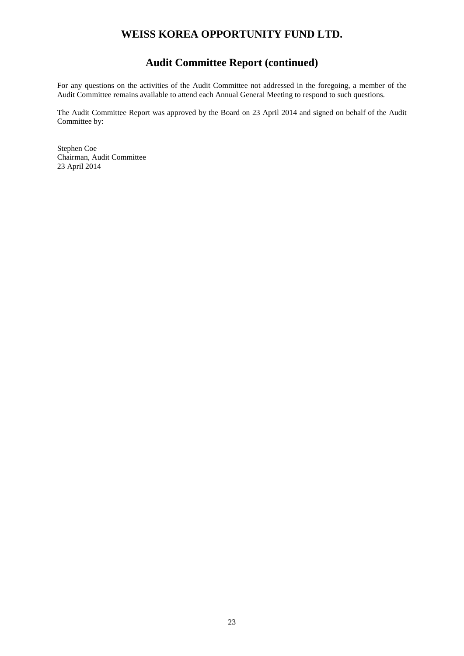# **Audit Committee Report (continued)**

For any questions on the activities of the Audit Committee not addressed in the foregoing, a member of the Audit Committee remains available to attend each Annual General Meeting to respond to such questions.

The Audit Committee Report was approved by the Board on 23 April 2014 and signed on behalf of the Audit Committee by:

Stephen Coe Chairman, Audit Committee 23 April 2014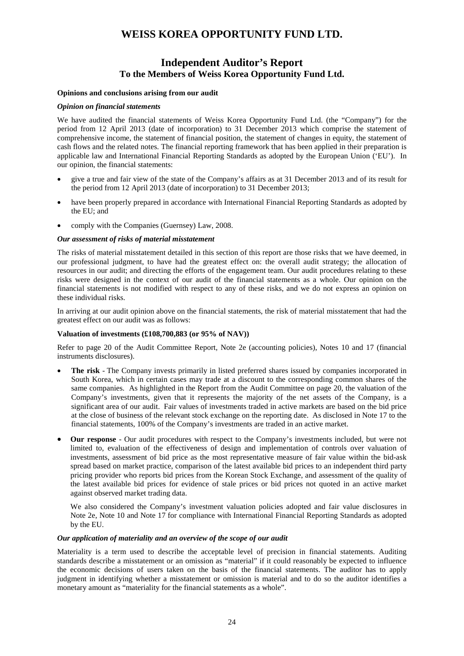# **Independent Auditor's Report To the Members of Weiss Korea Opportunity Fund Ltd.**

#### **Opinions and conclusions arising from our audit**

#### *Opinion on financial statements*

We have audited the financial statements of Weiss Korea Opportunity Fund Ltd. (the "Company") for the period from 12 April 2013 (date of incorporation) to 31 December 2013 which comprise the statement of comprehensive income, the statement of financial position, the statement of changes in equity, the statement of cash flows and the related notes. The financial reporting framework that has been applied in their preparation is applicable law and International Financial Reporting Standards as adopted by the European Union ('EU'). In our opinion, the financial statements:

- give a true and fair view of the state of the Company's affairs as at 31 December 2013 and of its result for the period from 12 April 2013 (date of incorporation) to 31 December 2013;
- have been properly prepared in accordance with International Financial Reporting Standards as adopted by the EU; and
- comply with the Companies (Guernsey) Law, 2008.

### *Our assessment of risks of material misstatement*

The risks of material misstatement detailed in this section of this report are those risks that we have deemed, in our professional judgment, to have had the greatest effect on: the overall audit strategy; the allocation of resources in our audit; and directing the efforts of the engagement team. Our audit procedures relating to these risks were designed in the context of our audit of the financial statements as a whole. Our opinion on the financial statements is not modified with respect to any of these risks, and we do not express an opinion on these individual risks.

In arriving at our audit opinion above on the financial statements, the risk of material misstatement that had the greatest effect on our audit was as follows:

## **Valuation of investments (£108,700,883 (or 95% of NAV))**

Refer to page 20 of the Audit Committee Report, Note 2e (accounting policies), Notes 10 and 17 (financial instruments disclosures).

- **The risk** The Company invests primarily in listed preferred shares issued by companies incorporated in South Korea, which in certain cases may trade at a discount to the corresponding common shares of the same companies. As highlighted in the Report from the Audit Committee on page 20, the valuation of the Company's investments, given that it represents the majority of the net assets of the Company, is a significant area of our audit. Fair values of investments traded in active markets are based on the bid price at the close of business of the relevant stock exchange on the reporting date. As disclosed in Note 17 to the financial statements, 100% of the Company's investments are traded in an active market.
- **Our response**  Our audit procedures with respect to the Company's investments included, but were not limited to, evaluation of the effectiveness of design and implementation of controls over valuation of investments, assessment of bid price as the most representative measure of fair value within the bid-ask spread based on market practice, comparison of the latest available bid prices to an independent third party pricing provider who reports bid prices from the Korean Stock Exchange, and assessment of the quality of the latest available bid prices for evidence of stale prices or bid prices not quoted in an active market against observed market trading data.

We also considered the Company's investment valuation policies adopted and fair value disclosures in Note 2e, Note 10 and Note 17 for compliance with International Financial Reporting Standards as adopted by the EU.

### *Our application of materiality and an overview of the scope of our audit*

Materiality is a term used to describe the acceptable level of precision in financial statements. Auditing standards describe a misstatement or an omission as "material" if it could reasonably be expected to influence the economic decisions of users taken on the basis of the financial statements. The auditor has to apply judgment in identifying whether a misstatement or omission is material and to do so the auditor identifies a monetary amount as "materiality for the financial statements as a whole".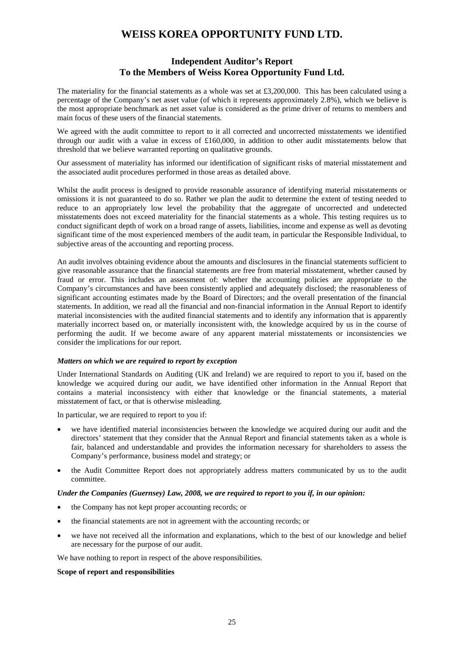# **Independent Auditor's Report To the Members of Weiss Korea Opportunity Fund Ltd.**

The materiality for the financial statements as a whole was set at £3,200,000. This has been calculated using a percentage of the Company's net asset value (of which it represents approximately 2.8%), which we believe is the most appropriate benchmark as net asset value is considered as the prime driver of returns to members and main focus of these users of the financial statements.

We agreed with the audit committee to report to it all corrected and uncorrected misstatements we identified through our audit with a value in excess of £160,000, in addition to other audit misstatements below that threshold that we believe warranted reporting on qualitative grounds.

Our assessment of materiality has informed our identification of significant risks of material misstatement and the associated audit procedures performed in those areas as detailed above.

Whilst the audit process is designed to provide reasonable assurance of identifying material misstatements or omissions it is not guaranteed to do so. Rather we plan the audit to determine the extent of testing needed to reduce to an appropriately low level the probability that the aggregate of uncorrected and undetected misstatements does not exceed materiality for the financial statements as a whole. This testing requires us to conduct significant depth of work on a broad range of assets, liabilities, income and expense as well as devoting significant time of the most experienced members of the audit team, in particular the Responsible Individual, to subjective areas of the accounting and reporting process.

An audit involves obtaining evidence about the amounts and disclosures in the financial statements sufficient to give reasonable assurance that the financial statements are free from material misstatement, whether caused by fraud or error. This includes an assessment of: whether the accounting policies are appropriate to the Company's circumstances and have been consistently applied and adequately disclosed; the reasonableness of significant accounting estimates made by the Board of Directors; and the overall presentation of the financial statements. In addition, we read all the financial and non-financial information in the Annual Report to identify material inconsistencies with the audited financial statements and to identify any information that is apparently materially incorrect based on, or materially inconsistent with, the knowledge acquired by us in the course of performing the audit. If we become aware of any apparent material misstatements or inconsistencies we consider the implications for our report.

## *Matters on which we are required to report by exception*

Under International Standards on Auditing (UK and Ireland) we are required to report to you if, based on the knowledge we acquired during our audit, we have identified other information in the Annual Report that contains a material inconsistency with either that knowledge or the financial statements, a material misstatement of fact, or that is otherwise misleading.

In particular, we are required to report to you if:

- we have identified material inconsistencies between the knowledge we acquired during our audit and the directors' statement that they consider that the Annual Report and financial statements taken as a whole is fair, balanced and understandable and provides the information necessary for shareholders to assess the Company's performance, business model and strategy; or
- the Audit Committee Report does not appropriately address matters communicated by us to the audit committee.

## *Under the Companies (Guernsey) Law, 2008, we are required to report to you if, in our opinion:*

- the Company has not kept proper accounting records; or
- the financial statements are not in agreement with the accounting records; or
- we have not received all the information and explanations, which to the best of our knowledge and belief are necessary for the purpose of our audit.

We have nothing to report in respect of the above responsibilities.

## **Scope of report and responsibilities**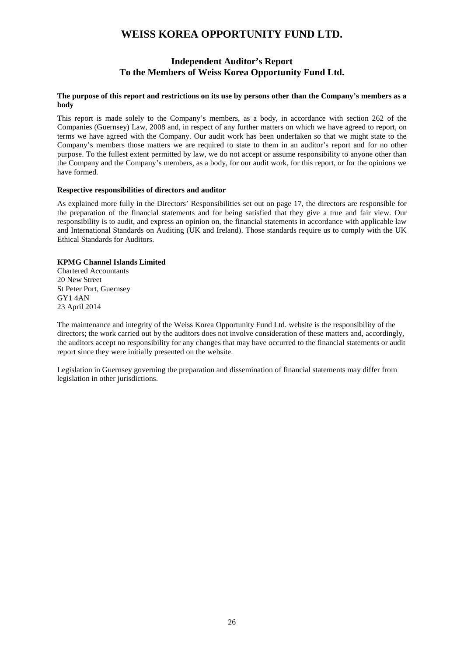# **Independent Auditor's Report To the Members of Weiss Korea Opportunity Fund Ltd.**

## **The purpose of this report and restrictions on its use by persons other than the Company's members as a body**

This report is made solely to the Company's members, as a body, in accordance with section 262 of the Companies (Guernsey) Law, 2008 and, in respect of any further matters on which we have agreed to report, on terms we have agreed with the Company. Our audit work has been undertaken so that we might state to the Company's members those matters we are required to state to them in an auditor's report and for no other purpose. To the fullest extent permitted by law, we do not accept or assume responsibility to anyone other than the Company and the Company's members, as a body, for our audit work, for this report, or for the opinions we have formed.

## **Respective responsibilities of directors and auditor**

As explained more fully in the Directors' Responsibilities set out on page 17, the directors are responsible for the preparation of the financial statements and for being satisfied that they give a true and fair view. Our responsibility is to audit, and express an opinion on, the financial statements in accordance with applicable law and International Standards on Auditing (UK and Ireland). Those standards require us to comply with the UK Ethical Standards for Auditors.

## **KPMG Channel Islands Limited**

Chartered Accountants 20 New Street St Peter Port, Guernsey GY1 4AN 23 April 2014

The maintenance and integrity of the Weiss Korea Opportunity Fund Ltd. website is the responsibility of the directors; the work carried out by the auditors does not involve consideration of these matters and, accordingly, the auditors accept no responsibility for any changes that may have occurred to the financial statements or audit report since they were initially presented on the website.

Legislation in Guernsey governing the preparation and dissemination of financial statements may differ from legislation in other jurisdictions.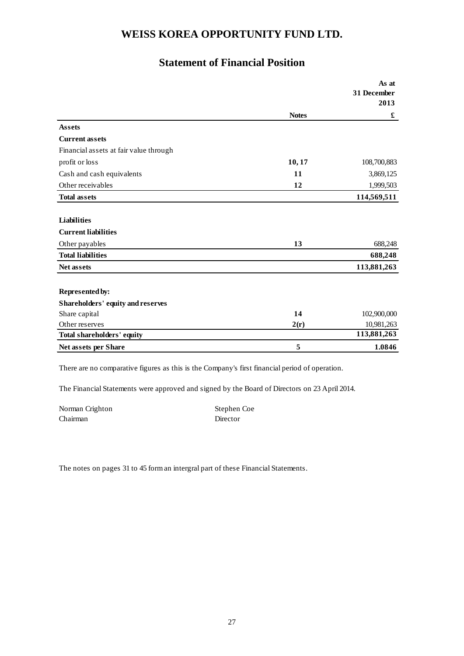# **Statement of Financial Position**

|                                        |              | As at               |
|----------------------------------------|--------------|---------------------|
|                                        |              | 31 December<br>2013 |
|                                        | <b>Notes</b> | £                   |
| <b>Assets</b>                          |              |                     |
| <b>Current assets</b>                  |              |                     |
| Financial assets at fair value through |              |                     |
| profit or loss                         | 10,17        | 108,700,883         |
| Cash and cash equivalents              | 11           | 3,869,125           |
| Other receivables                      | 12           | 1,999,503           |
| <b>Total assets</b>                    |              | 114,569,511         |
|                                        |              |                     |
| <b>Liabilities</b>                     |              |                     |
| <b>Current liabilities</b>             |              |                     |
| Other payables                         | 13           | 688,248             |
| <b>Total liabilities</b>               |              | 688,248             |
| Net assets                             |              | 113,881,263         |
|                                        |              |                     |
| <b>Represented by:</b>                 |              |                     |
| Shareholders' equity and reserves      |              |                     |
| Share capital                          | 14           | 102,900,000         |
| Other reserves                         | 2(r)         | 10,981,263          |
| <b>Total shareholders' equity</b>      |              | 113,881,263         |
| Net assets per Share                   | 5            | 1.0846              |

There are no comparative figures as this is the Company's first financial period of operation.

The Financial Statements were approved and signed by the Board of Directors on 23 April 2014.

Norman Crighton Stephen Coe Chairman Director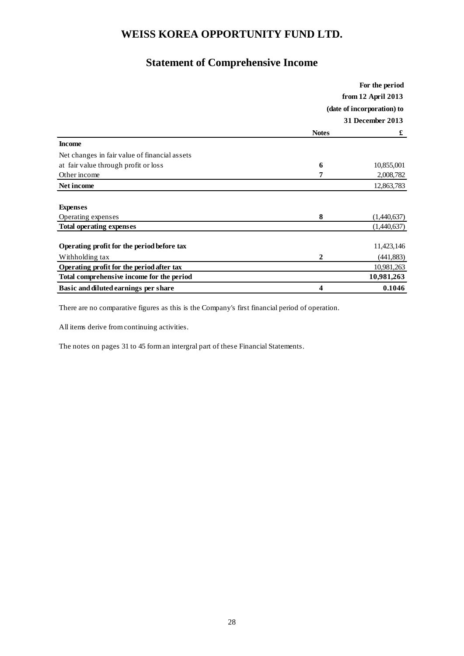# **Statement of Comprehensive Income**

|                                               | For the period<br>from 12 April 2013<br>(date of incorporation) to<br>31 December 2013 |             |
|-----------------------------------------------|----------------------------------------------------------------------------------------|-------------|
|                                               |                                                                                        |             |
|                                               |                                                                                        |             |
|                                               |                                                                                        |             |
|                                               | <b>Notes</b>                                                                           | £           |
| <b>Income</b>                                 |                                                                                        |             |
| Net changes in fair value of financial assets |                                                                                        |             |
| at fair value through profit or loss          | 6                                                                                      | 10,855,001  |
| Other income                                  | 7                                                                                      | 2,008,782   |
| <b>Net income</b>                             |                                                                                        | 12,863,783  |
| <b>Expenses</b>                               |                                                                                        |             |
| Operating expenses                            | 8                                                                                      | (1,440,637) |
| <b>Total operating expenses</b>               |                                                                                        | (1,440,637) |
| Operating profit for the period before tax    |                                                                                        | 11,423,146  |
| Withholding tax                               | 2                                                                                      | (441, 883)  |
| Operating profit for the period after tax     |                                                                                        | 10,981,263  |
| Total comprehensive income for the period     |                                                                                        | 10,981,263  |
| Basic and diluted earnings per share          | 4                                                                                      | 0.1046      |

There are no comparative figures as this is the Company's first financial period of operation.

All items derive from continuing activities.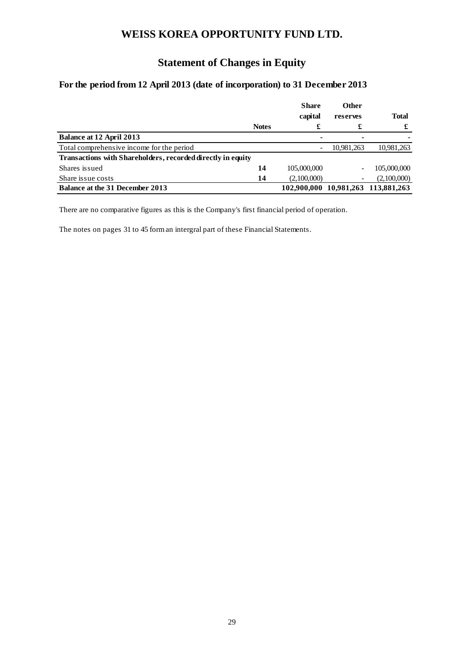# **Statement of Changes in Equity**

# **For the period from 12 April 2013 (date of incorporation) to 31 December 2013**

|                                                             |              | <b>Share</b><br>capital | Other<br>reserves | <b>Total</b>           |
|-------------------------------------------------------------|--------------|-------------------------|-------------------|------------------------|
|                                                             | <b>Notes</b> |                         | £                 |                        |
| Balance at 12 April 2013                                    |              | ۰                       |                   |                        |
| Total comprehensive income for the period                   |              | -                       | 10,981,263        | 10,981,263             |
| Transactions with Shareholders, recorded directly in equity |              |                         |                   |                        |
| Shares issued                                               | 14           | 105,000,000             |                   | 105,000,000            |
| Share issue costs                                           | 14           | (2,100,000)             | ۰.                | (2,100,000)            |
| Balance at the 31 December 2013                             |              | 102.900.000             |                   | 10,981,263 113,881,263 |

There are no comparative figures as this is the Company's first financial period of operation.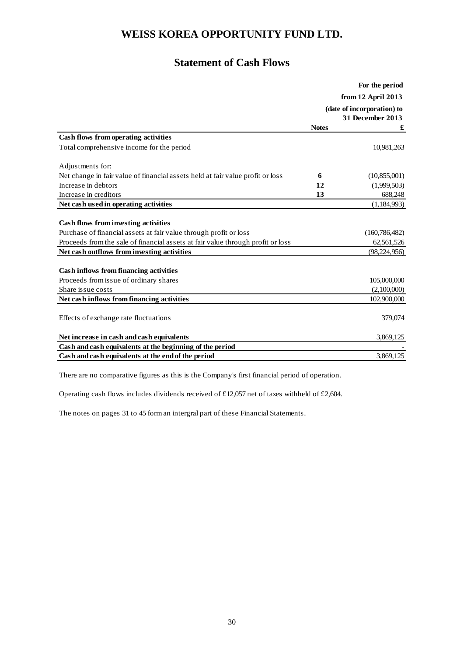# **Statement of Cash Flows**

|                                                                                 | For the period<br>from 12 April 2013<br>(date of incorporation) to |                  |
|---------------------------------------------------------------------------------|--------------------------------------------------------------------|------------------|
|                                                                                 |                                                                    |                  |
|                                                                                 |                                                                    |                  |
|                                                                                 |                                                                    | 31 December 2013 |
|                                                                                 | <b>Notes</b>                                                       | £                |
| Cash flows from operating activities                                            |                                                                    |                  |
| Total comprehensive income for the period                                       |                                                                    | 10,981,263       |
| Adjustments for:                                                                |                                                                    |                  |
| Net change in fair value of financial assets held at fair value profit or loss  | 6                                                                  | (10,855,001)     |
| Increase in debtors                                                             | 12                                                                 | (1,999,503)      |
| Increase in creditors                                                           | 13                                                                 | 688,248          |
| Net cash used in operating activities                                           |                                                                    | (1,184,993)      |
|                                                                                 |                                                                    |                  |
| Cash flows from investing activities                                            |                                                                    |                  |
| Purchase of financial assets at fair value through profit or loss               |                                                                    | (160, 786, 482)  |
| Proceeds from the sale of financial assets at fair value through profit or loss |                                                                    | 62,561,526       |
| Net cash outflows from investing activities                                     |                                                                    | (98, 224, 956)   |
| Cash inflows from financing activities                                          |                                                                    |                  |
| Proceeds from issue of ordinary shares                                          |                                                                    | 105,000,000      |
| Share issue costs                                                               |                                                                    | (2,100,000)      |
| Net cash inflows from financing activities                                      |                                                                    | 102,900,000      |
|                                                                                 |                                                                    |                  |
| Effects of exchange rate fluctuations                                           |                                                                    | 379,074          |
| Net increase in cash and cash equivalents                                       |                                                                    | 3,869,125        |
| Cash and cash equivalents at the beginning of the period                        |                                                                    |                  |
| Cash and cash equivalents at the end of the period                              |                                                                    | 3,869,125        |

There are no comparative figures as this is the Company's first financial period of operation.

Operating cash flows includes dividends received of £12,057 net of taxes withheld of £2,604.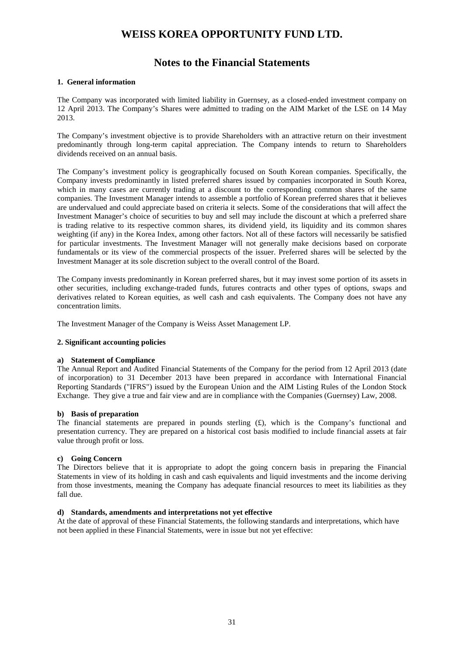# **Notes to the Financial Statements**

# **1. General information**

The Company was incorporated with limited liability in Guernsey, as a closed-ended investment company on 12 April 2013. The Company's Shares were admitted to trading on the AIM Market of the LSE on 14 May 2013.

The Company's investment objective is to provide Shareholders with an attractive return on their investment predominantly through long-term capital appreciation. The Company intends to return to Shareholders dividends received on an annual basis.

The Company's investment policy is geographically focused on South Korean companies. Specifically, the Company invests predominantly in listed preferred shares issued by companies incorporated in South Korea, which in many cases are currently trading at a discount to the corresponding common shares of the same companies. The Investment Manager intends to assemble a portfolio of Korean preferred shares that it believes are undervalued and could appreciate based on criteria it selects. Some of the considerations that will affect the Investment Manager's choice of securities to buy and sell may include the discount at which a preferred share is trading relative to its respective common shares, its dividend yield, its liquidity and its common shares weighting (if any) in the Korea Index, among other factors. Not all of these factors will necessarily be satisfied for particular investments. The Investment Manager will not generally make decisions based on corporate fundamentals or its view of the commercial prospects of the issuer. Preferred shares will be selected by the Investment Manager at its sole discretion subject to the overall control of the Board.

The Company invests predominantly in Korean preferred shares, but it may invest some portion of its assets in other securities, including exchange-traded funds, futures contracts and other types of options, swaps and derivatives related to Korean equities, as well cash and cash equivalents. The Company does not have any concentration limits.

The Investment Manager of the Company is Weiss Asset Management LP.

## **2. Significant accounting policies**

## **a) Statement of Compliance**

The Annual Report and Audited Financial Statements of the Company for the period from 12 April 2013 (date of incorporation) to 31 December 2013 have been prepared in accordance with International Financial Reporting Standards ("IFRS") issued by the European Union and the AIM Listing Rules of the London Stock Exchange. They give a true and fair view and are in compliance with the Companies (Guernsey) Law, 2008.

## **b) Basis of preparation**

The financial statements are prepared in pounds sterling  $(f)$ , which is the Company's functional and presentation currency. They are prepared on a historical cost basis modified to include financial assets at fair value through profit or loss.

## **c) Going Concern**

The Directors believe that it is appropriate to adopt the going concern basis in preparing the Financial Statements in view of its holding in cash and cash equivalents and liquid investments and the income deriving from those investments, meaning the Company has adequate financial resources to meet its liabilities as they fall due.

## **d) Standards, amendments and interpretations not yet effective**

At the date of approval of these Financial Statements, the following standards and interpretations, which have not been applied in these Financial Statements, were in issue but not yet effective: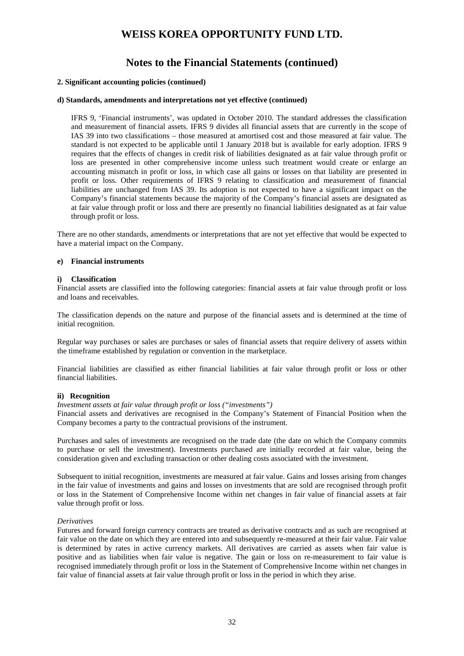# **Notes to the Financial Statements (continued)**

## **2. Significant accounting policies (continued)**

### **d) Standards, amendments and interpretations not yet effective (continued)**

IFRS 9, 'Financial instruments', was updated in October 2010. The standard addresses the classification and measurement of financial assets. IFRS 9 divides all financial assets that are currently in the scope of IAS 39 into two classifications – those measured at amortised cost and those measured at fair value. The standard is not expected to be applicable until 1 January 2018 but is available for early adoption. IFRS 9 requires that the effects of changes in credit risk of liabilities designated as at fair value through profit or loss are presented in other comprehensive income unless such treatment would create or enlarge an accounting mismatch in profit or loss, in which case all gains or losses on that liability are presented in profit or loss. Other requirements of IFRS 9 relating to classification and measurement of financial liabilities are unchanged from IAS 39. Its adoption is not expected to have a significant impact on the Company's financial statements because the majority of the Company's financial assets are designated as at fair value through profit or loss and there are presently no financial liabilities designated as at fair value through profit or loss.

There are no other standards, amendments or interpretations that are not yet effective that would be expected to have a material impact on the Company.

#### **e) Financial instruments**

### **i) Classification**

Financial assets are classified into the following categories: financial assets at fair value through profit or loss and loans and receivables.

The classification depends on the nature and purpose of the financial assets and is determined at the time of initial recognition.

Regular way purchases or sales are purchases or sales of financial assets that require delivery of assets within the timeframe established by regulation or convention in the marketplace.

Financial liabilities are classified as either financial liabilities at fair value through profit or loss or other financial liabilities.

#### **ii) Recognition**

### *Investment assets at fair value through profit or loss ("investments")*

Financial assets and derivatives are recognised in the Company's Statement of Financial Position when the Company becomes a party to the contractual provisions of the instrument.

Purchases and sales of investments are recognised on the trade date (the date on which the Company commits to purchase or sell the investment). Investments purchased are initially recorded at fair value, being the consideration given and excluding transaction or other dealing costs associated with the investment.

Subsequent to initial recognition, investments are measured at fair value. Gains and losses arising from changes in the fair value of investments and gains and losses on investments that are sold are recognised through profit or loss in the Statement of Comprehensive Income within net changes in fair value of financial assets at fair value through profit or loss.

#### *Derivatives*

Futures and forward foreign currency contracts are treated as derivative contracts and as such are recognised at fair value on the date on which they are entered into and subsequently re-measured at their fair value. Fair value is determined by rates in active currency markets. All derivatives are carried as assets when fair value is positive and as liabilities when fair value is negative. The gain or loss on re-measurement to fair value is recognised immediately through profit or loss in the Statement of Comprehensive Income within net changes in fair value of financial assets at fair value through profit or loss in the period in which they arise.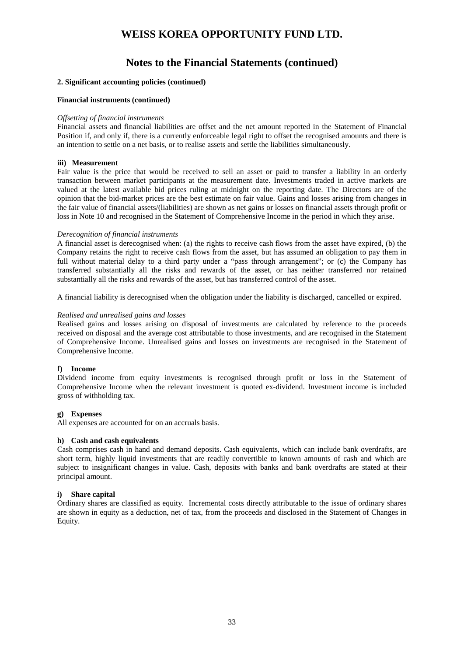# **Notes to the Financial Statements (continued)**

## **2. Significant accounting policies (continued)**

#### **Financial instruments (continued)**

#### *Offsetting of financial instruments*

Financial assets and financial liabilities are offset and the net amount reported in the Statement of Financial Position if, and only if, there is a currently enforceable legal right to offset the recognised amounts and there is an intention to settle on a net basis, or to realise assets and settle the liabilities simultaneously.

### **iii) Measurement**

Fair value is the price that would be received to sell an asset or paid to transfer a liability in an orderly transaction between market participants at the measurement date. Investments traded in active markets are valued at the latest available bid prices ruling at midnight on the reporting date. The Directors are of the opinion that the bid-market prices are the best estimate on fair value. Gains and losses arising from changes in the fair value of financial assets/(liabilities) are shown as net gains or losses on financial assets through profit or loss in Note 10 and recognised in the Statement of Comprehensive Income in the period in which they arise.

### *Derecognition of financial instruments*

A financial asset is derecognised when: (a) the rights to receive cash flows from the asset have expired, (b) the Company retains the right to receive cash flows from the asset, but has assumed an obligation to pay them in full without material delay to a third party under a "pass through arrangement"; or (c) the Company has transferred substantially all the risks and rewards of the asset, or has neither transferred nor retained substantially all the risks and rewards of the asset, but has transferred control of the asset.

A financial liability is derecognised when the obligation under the liability is discharged, cancelled or expired.

## *Realised and unrealised gains and losses*

Realised gains and losses arising on disposal of investments are calculated by reference to the proceeds received on disposal and the average cost attributable to those investments, and are recognised in the Statement of Comprehensive Income. Unrealised gains and losses on investments are recognised in the Statement of Comprehensive Income.

## **f) Income**

Dividend income from equity investments is recognised through profit or loss in the Statement of Comprehensive Income when the relevant investment is quoted ex-dividend. Investment income is included gross of withholding tax.

## **g) Expenses**

All expenses are accounted for on an accruals basis.

#### **h) Cash and cash equivalents**

Cash comprises cash in hand and demand deposits. Cash equivalents, which can include bank overdrafts, are short term, highly liquid investments that are readily convertible to known amounts of cash and which are subject to insignificant changes in value. Cash, deposits with banks and bank overdrafts are stated at their principal amount.

#### **i) Share capital**

Ordinary shares are classified as equity. Incremental costs directly attributable to the issue of ordinary shares are shown in equity as a deduction, net of tax, from the proceeds and disclosed in the Statement of Changes in Equity.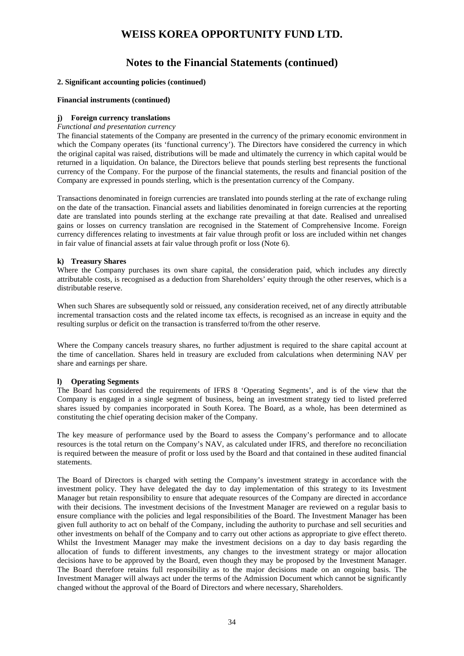# **Notes to the Financial Statements (continued)**

## **2. Significant accounting policies (continued)**

#### **Financial instruments (continued)**

### **j) Foreign currency translations**

### *Functional and presentation currency*

The financial statements of the Company are presented in the currency of the primary economic environment in which the Company operates (its 'functional currency'). The Directors have considered the currency in which the original capital was raised, distributions will be made and ultimately the currency in which capital would be returned in a liquidation. On balance, the Directors believe that pounds sterling best represents the functional currency of the Company. For the purpose of the financial statements, the results and financial position of the Company are expressed in pounds sterling, which is the presentation currency of the Company.

Transactions denominated in foreign currencies are translated into pounds sterling at the rate of exchange ruling on the date of the transaction. Financial assets and liabilities denominated in foreign currencies at the reporting date are translated into pounds sterling at the exchange rate prevailing at that date. Realised and unrealised gains or losses on currency translation are recognised in the Statement of Comprehensive Income. Foreign currency differences relating to investments at fair value through profit or loss are included within net changes in fair value of financial assets at fair value through profit or loss (Note 6).

## **k) Treasury Shares**

Where the Company purchases its own share capital, the consideration paid, which includes any directly attributable costs, is recognised as a deduction from Shareholders' equity through the other reserves, which is a distributable reserve.

When such Shares are subsequently sold or reissued, any consideration received, net of any directly attributable incremental transaction costs and the related income tax effects, is recognised as an increase in equity and the resulting surplus or deficit on the transaction is transferred to/from the other reserve.

Where the Company cancels treasury shares, no further adjustment is required to the share capital account at the time of cancellation. Shares held in treasury are excluded from calculations when determining NAV per share and earnings per share.

### **l) Operating Segments**

The Board has considered the requirements of IFRS 8 'Operating Segments', and is of the view that the Company is engaged in a single segment of business, being an investment strategy tied to listed preferred shares issued by companies incorporated in South Korea. The Board, as a whole, has been determined as constituting the chief operating decision maker of the Company.

The key measure of performance used by the Board to assess the Company's performance and to allocate resources is the total return on the Company's NAV, as calculated under IFRS, and therefore no reconciliation is required between the measure of profit or loss used by the Board and that contained in these audited financial statements.

The Board of Directors is charged with setting the Company's investment strategy in accordance with the investment policy. They have delegated the day to day implementation of this strategy to its Investment Manager but retain responsibility to ensure that adequate resources of the Company are directed in accordance with their decisions. The investment decisions of the Investment Manager are reviewed on a regular basis to ensure compliance with the policies and legal responsibilities of the Board. The Investment Manager has been given full authority to act on behalf of the Company, including the authority to purchase and sell securities and other investments on behalf of the Company and to carry out other actions as appropriate to give effect thereto. Whilst the Investment Manager may make the investment decisions on a day to day basis regarding the allocation of funds to different investments, any changes to the investment strategy or major allocation decisions have to be approved by the Board, even though they may be proposed by the Investment Manager. The Board therefore retains full responsibility as to the major decisions made on an ongoing basis. The Investment Manager will always act under the terms of the Admission Document which cannot be significantly changed without the approval of the Board of Directors and where necessary, Shareholders.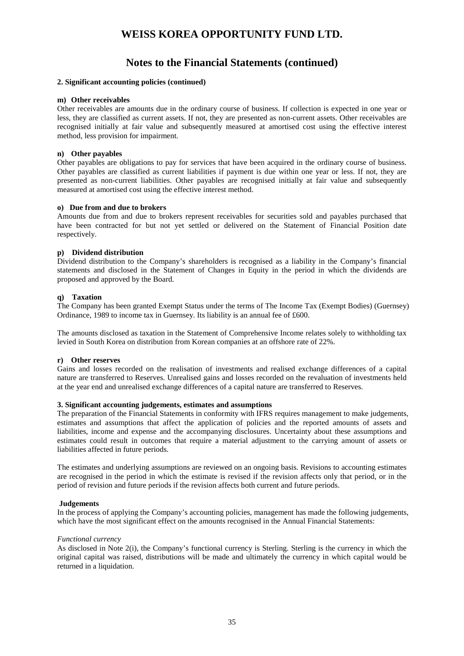# **Notes to the Financial Statements (continued)**

## **2. Significant accounting policies (continued)**

#### **m) Other receivables**

Other receivables are amounts due in the ordinary course of business. If collection is expected in one year or less, they are classified as current assets. If not, they are presented as non-current assets. Other receivables are recognised initially at fair value and subsequently measured at amortised cost using the effective interest method, less provision for impairment.

### **n) Other payables**

Other payables are obligations to pay for services that have been acquired in the ordinary course of business. Other payables are classified as current liabilities if payment is due within one year or less. If not, they are presented as non-current liabilities. Other payables are recognised initially at fair value and subsequently measured at amortised cost using the effective interest method.

### **o) Due from and due to brokers**

Amounts due from and due to brokers represent receivables for securities sold and payables purchased that have been contracted for but not yet settled or delivered on the Statement of Financial Position date respectively.

# **p) Dividend distribution**

Dividend distribution to the Company's shareholders is recognised as a liability in the Company's financial statements and disclosed in the Statement of Changes in Equity in the period in which the dividends are proposed and approved by the Board.

## **q) Taxation**

The Company has been granted Exempt Status under the terms of The Income Tax (Exempt Bodies) (Guernsey) Ordinance, 1989 to income tax in Guernsey. Its liability is an annual fee of £600.

The amounts disclosed as taxation in the Statement of Comprehensive Income relates solely to withholding tax levied in South Korea on distribution from Korean companies at an offshore rate of 22%.

#### **r) Other reserves**

Gains and losses recorded on the realisation of investments and realised exchange differences of a capital nature are transferred to Reserves. Unrealised gains and losses recorded on the revaluation of investments held at the year end and unrealised exchange differences of a capital nature are transferred to Reserves.

## **3. Significant accounting judgements, estimates and assumptions**

The preparation of the Financial Statements in conformity with IFRS requires management to make judgements, estimates and assumptions that affect the application of policies and the reported amounts of assets and liabilities, income and expense and the accompanying disclosures. Uncertainty about these assumptions and estimates could result in outcomes that require a material adjustment to the carrying amount of assets or liabilities affected in future periods.

The estimates and underlying assumptions are reviewed on an ongoing basis. Revisions to accounting estimates are recognised in the period in which the estimate is revised if the revision affects only that period, or in the period of revision and future periods if the revision affects both current and future periods.

#### **Judgements**

In the process of applying the Company's accounting policies, management has made the following judgements, which have the most significant effect on the amounts recognised in the Annual Financial Statements:

#### *Functional currency*

As disclosed in Note 2(i), the Company's functional currency is Sterling. Sterling is the currency in which the original capital was raised, distributions will be made and ultimately the currency in which capital would be returned in a liquidation.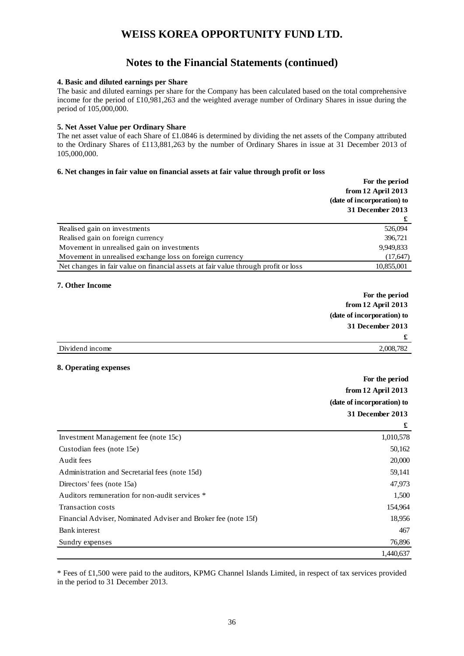# **Notes to the Financial Statements (continued)**

# **4. Basic and diluted earnings per Share**

The basic and diluted earnings per share for the Company has been calculated based on the total comprehensive income for the period of £10,981,263 and the weighted average number of Ordinary Shares in issue during the period of 105,000,000.

## **5. Net Asset Value per Ordinary Share**

The net asset value of each Share of £1.0846 is determined by dividing the net assets of the Company attributed to the Ordinary Shares of £113,881,263 by the number of Ordinary Shares in issue at 31 December 2013 of 105,000,000.

## **6. Net changes in fair value on financial assets at fair value through profit or loss**

|                                                                                                                                                | For the period             |
|------------------------------------------------------------------------------------------------------------------------------------------------|----------------------------|
|                                                                                                                                                | from 12 April 2013         |
|                                                                                                                                                | (date of incorporation) to |
|                                                                                                                                                | 31 December 2013           |
|                                                                                                                                                | £                          |
| Realised gain on investments                                                                                                                   | 526,094                    |
| Realised gain on foreign currency                                                                                                              | 396,721                    |
| Movement in unrealised gain on investments                                                                                                     | 9,949,833                  |
| Movement in unrealised exchange loss on foreign currency<br>Net changes in fair value on financial assets at fair value through profit or loss | (17, 647)<br>10,855,001    |
|                                                                                                                                                |                            |
| 7. Other Income                                                                                                                                |                            |
|                                                                                                                                                | For the period             |
|                                                                                                                                                | from 12 April 2013         |
|                                                                                                                                                | (date of incorporation) to |
|                                                                                                                                                | 31 December 2013           |
|                                                                                                                                                | £                          |
| Dividend income                                                                                                                                | 2,008,782                  |
|                                                                                                                                                |                            |
| 8. Operating expenses                                                                                                                          |                            |
|                                                                                                                                                | For the period             |
|                                                                                                                                                | from 12 April 2013         |
|                                                                                                                                                | (date of incorporation) to |
|                                                                                                                                                | 31 December 2013           |
|                                                                                                                                                | £                          |
| Investment Management fee (note 15c)                                                                                                           | 1,010,578                  |
| Custodian fees (note 15e)                                                                                                                      | 50,162                     |
| Audit fees                                                                                                                                     | 20,000                     |
| Administration and Secretarial fees (note 15d)                                                                                                 | 59,141                     |
| Directors' fees (note 15a)                                                                                                                     | 47,973                     |
| Auditors remuneration for non-audit services *                                                                                                 | 1,500                      |
| <b>Transaction costs</b>                                                                                                                       | 154,964                    |
| Financial Adviser, Nominated Adviser and Broker fee (note 15f)                                                                                 | 18,956                     |
| <b>Bank</b> interest                                                                                                                           | 467                        |
| Sundry expenses                                                                                                                                | 76,896                     |
|                                                                                                                                                | 1,440,637                  |

\* Fees of £1,500 were paid to the auditors, KPMG Channel Islands Limited, in respect of tax services provided in the period to 31 December 2013.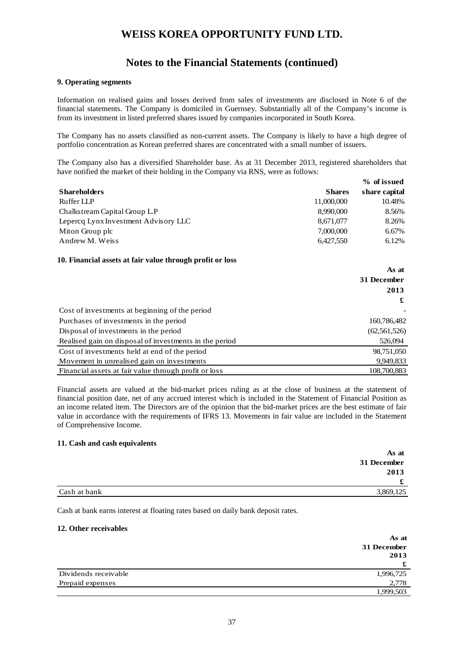# **Notes to the Financial Statements (continued)**

## **9. Operating segments**

Information on realised gains and losses derived from sales of investments are disclosed in Note 6 of the financial statements. The Company is domiciled in Guernsey. Substantially all of the Company's income is from its investment in listed preferred shares issued by companies incorporated in South Korea.

The Company has no assets classified as non-current assets. The Company is likely to have a high degree of portfolio concentration as Korean preferred shares are concentrated with a small number of issuers.

The Company also has a diversified Shareholder base. As at 31 December 2013, registered shareholders that have notified the market of their holding in the Company via RNS, were as follows:

|                                      |               | % of issued   |
|--------------------------------------|---------------|---------------|
| <b>Shareholders</b>                  | <b>Shares</b> | share capital |
| Ruffer LLP                           | 11,000,000    | 10.48%        |
| Chalkstream Capital Group L.P        | 8,990,000     | 8.56%         |
| Lepercq Lynx Investment Advisory LLC | 8,671,077     | 8.26%         |
| Miton Group plc                      | 7,000,000     | 6.67%         |
| Andrew M. Weiss                      | 6,427,550     | 6.12%         |

## **10. Financial assets at fair value through profit or loss**

|                                                        | As at          |
|--------------------------------------------------------|----------------|
|                                                        | 31 December    |
|                                                        | 2013           |
|                                                        | £              |
| Cost of investments at beginning of the period         |                |
| Purchases of investments in the period                 | 160,786,482    |
| Disposal of investments in the period                  | (62, 561, 526) |
| Realised gain on disposal of investments in the period | 526,094        |
| Cost of investments held at end of the period          | 98,751,050     |
| Movement in unrealised gain on investments             | 9,949,833      |
| Financial assets at fair value through profit or loss  | 108,700,883    |

Financial assets are valued at the bid-market prices ruling as at the close of business at the statement of financial position date, net of any accrued interest which is included in the Statement of Financial Position as an income related item. The Directors are of the opinion that the bid-market prices are the best estimate of fair value in accordance with the requirements of IFRS 13. Movements in fair value are included in the Statement of Comprehensive Income.

## **11. Cash and cash equivalents**

|              | As at       |
|--------------|-------------|
|              | 31 December |
|              | 2013        |
|              | £           |
| Cash at bank | 3,869,125   |
|              |             |

Cash at bank earns interest at floating rates based on daily bank deposit rates.

### **12. Other receivables**

|                      | As at       |
|----------------------|-------------|
|                      | 31 December |
|                      | 2013        |
|                      | £           |
| Dividends receivable | 1,996,725   |
| Prepaid expenses     | 2,778       |
|                      | 1.999.503   |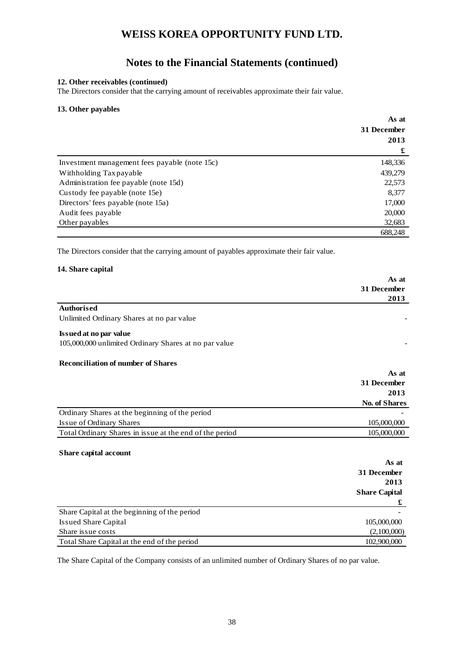# **Notes to the Financial Statements (continued)**

## **12. Other receivables (continued)**

The Directors consider that the carrying amount of receivables approximate their fair value.

# **13. Other payables**

|                                               | As at       |
|-----------------------------------------------|-------------|
|                                               | 31 December |
|                                               | 2013        |
|                                               |             |
| Investment management fees payable (note 15c) | 148,336     |
| Withholding Tax payable                       | 439,279     |
| Administration fee payable (note 15d)         | 22,573      |
| Custody fee payable (note 15e)                | 8,377       |
| Directors' fees payable (note 15a)            | 17,000      |
| Audit fees payable                            | 20,000      |
| Other payables                                | 32,683      |
|                                               | 688,248     |

The Directors consider that the carrying amount of payables approximate their fair value.

## **14. Share capital**

|                                                         | As at                |
|---------------------------------------------------------|----------------------|
|                                                         | 31 December          |
|                                                         | 2013                 |
| <b>Authorised</b>                                       |                      |
| Unlimited Ordinary Shares at no par value               |                      |
| <b>Issued at no par value</b>                           |                      |
| 105,000,000 unlimited Ordinary Shares at no par value   |                      |
| <b>Reconciliation of number of Shares</b>               |                      |
|                                                         | As at                |
|                                                         | 31 December          |
|                                                         | 2013                 |
|                                                         | <b>No. of Shares</b> |
| Ordinary Shares at the beginning of the period          |                      |
| <b>Issue of Ordinary Shares</b>                         | 105,000,000          |
| Total Ordinary Shares in issue at the end of the period | 105,000,000          |
| Share capital account                                   |                      |
|                                                         | As at                |
|                                                         | 31 December          |
|                                                         | 2013                 |
|                                                         | <b>Share Capital</b> |
|                                                         | £                    |
| Share Capital at the beginning of the period            |                      |
| <b>Issued Share Capital</b>                             | 105,000,000          |
| Share issue costs                                       | (2,100,000)          |
| Total Share Capital at the end of the period            | 102,900,000          |

The Share Capital of the Company consists of an unlimited number of Ordinary Shares of no par value.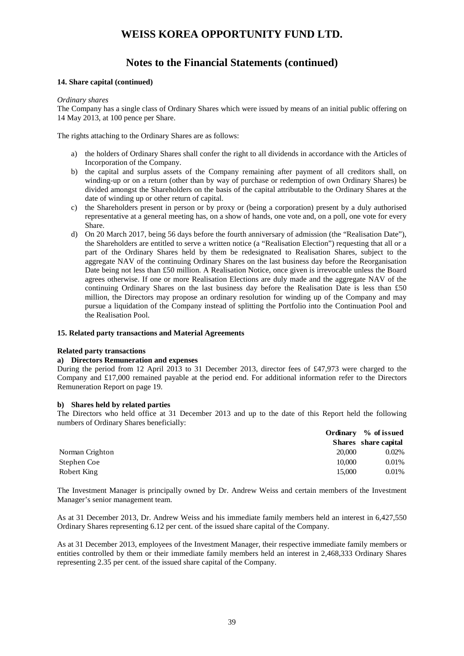# **Notes to the Financial Statements (continued)**

## **14. Share capital (continued)**

#### *Ordinary shares*

The Company has a single class of Ordinary Shares which were issued by means of an initial public offering on 14 May 2013, at 100 pence per Share.

The rights attaching to the Ordinary Shares are as follows:

- a) the holders of Ordinary Shares shall confer the right to all dividends in accordance with the Articles of Incorporation of the Company.
- b) the capital and surplus assets of the Company remaining after payment of all creditors shall, on winding-up or on a return (other than by way of purchase or redemption of own Ordinary Shares) be divided amongst the Shareholders on the basis of the capital attributable to the Ordinary Shares at the date of winding up or other return of capital.
- c) the Shareholders present in person or by proxy or (being a corporation) present by a duly authorised representative at a general meeting has, on a show of hands, one vote and, on a poll, one vote for every Share.
- d) On 20 March 2017, being 56 days before the fourth anniversary of admission (the "Realisation Date"), the Shareholders are entitled to serve a written notice (a "Realisation Election") requesting that all or a part of the Ordinary Shares held by them be redesignated to Realisation Shares, subject to the aggregate NAV of the continuing Ordinary Shares on the last business day before the Reorganisation Date being not less than £50 million. A Realisation Notice, once given is irrevocable unless the Board agrees otherwise. If one or more Realisation Elections are duly made and the aggregate NAV of the continuing Ordinary Shares on the last business day before the Realisation Date is less than £50 million, the Directors may propose an ordinary resolution for winding up of the Company and may pursue a liquidation of the Company instead of splitting the Portfolio into the Continuation Pool and the Realisation Pool.

## **15. Related party transactions and Material Agreements**

#### **Related party transactions**

#### **a) Directors Remuneration and expenses**

During the period from 12 April 2013 to 31 December 2013, director fees of £47,973 were charged to the Company and £17,000 remained payable at the period end. For additional information refer to the Directors Remuneration Report on page 19.

#### **b) Shares held by related parties**

The Directors who held office at 31 December 2013 and up to the date of this Report held the following numbers of Ordinary Shares beneficially:

|                 |        | Ordinary % of issued |
|-----------------|--------|----------------------|
|                 |        | Shares share capital |
| Norman Crighton | 20,000 | $0.02\%$             |
| Stephen Coe     | 10,000 | 0.01%                |
| Robert King     | 15,000 | 0.01%                |

The Investment Manager is principally owned by Dr. Andrew Weiss and certain members of the Investment Manager's senior management team.

As at 31 December 2013, Dr. Andrew Weiss and his immediate family members held an interest in 6,427,550 Ordinary Shares representing 6.12 per cent. of the issued share capital of the Company.

As at 31 December 2013, employees of the Investment Manager, their respective immediate family members or entities controlled by them or their immediate family members held an interest in 2,468,333 Ordinary Shares representing 2.35 per cent. of the issued share capital of the Company.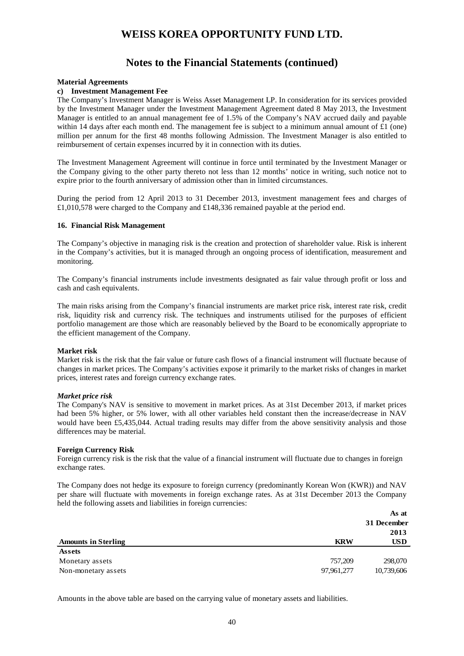# **Notes to the Financial Statements (continued)**

## **Material Agreements**

## **c) Investment Management Fee**

The Company's Investment Manager is Weiss Asset Management LP. In consideration for its services provided by the Investment Manager under the Investment Management Agreement dated 8 May 2013, the Investment Manager is entitled to an annual management fee of 1.5% of the Company's NAV accrued daily and payable within 14 days after each month end. The management fee is subject to a minimum annual amount of £1 (one) million per annum for the first 48 months following Admission. The Investment Manager is also entitled to reimbursement of certain expenses incurred by it in connection with its duties.

The Investment Management Agreement will continue in force until terminated by the Investment Manager or the Company giving to the other party thereto not less than 12 months' notice in writing, such notice not to expire prior to the fourth anniversary of admission other than in limited circumstances.

During the period from 12 April 2013 to 31 December 2013, investment management fees and charges of £1,010,578 were charged to the Company and £148,336 remained payable at the period end.

### **16. Financial Risk Management**

The Company's objective in managing risk is the creation and protection of shareholder value. Risk is inherent in the Company's activities, but it is managed through an ongoing process of identification, measurement and monitoring.

The Company's financial instruments include investments designated as fair value through profit or loss and cash and cash equivalents.

The main risks arising from the Company's financial instruments are market price risk, interest rate risk, credit risk, liquidity risk and currency risk. The techniques and instruments utilised for the purposes of efficient portfolio management are those which are reasonably believed by the Board to be economically appropriate to the efficient management of the Company.

#### **Market risk**

Market risk is the risk that the fair value or future cash flows of a financial instrument will fluctuate because of changes in market prices. The Company's activities expose it primarily to the market risks of changes in market prices, interest rates and foreign currency exchange rates.

#### *Market price risk*

The Company's NAV is sensitive to movement in market prices. As at 31st December 2013, if market prices had been 5% higher, or 5% lower, with all other variables held constant then the increase/decrease in NAV would have been £5,435,044. Actual trading results may differ from the above sensitivity analysis and those differences may be material.

#### **Foreign Currency Risk**

Foreign currency risk is the risk that the value of a financial instrument will fluctuate due to changes in foreign exchange rates.

The Company does not hedge its exposure to foreign currency (predominantly Korean Won (KWR)) and NAV per share will fluctuate with movements in foreign exchange rates. As at 31st December 2013 the Company held the following assets and liabilities in foreign currencies:

|                            |            | As at       |
|----------------------------|------------|-------------|
|                            |            | 31 December |
|                            |            | 2013        |
| <b>Amounts in Sterling</b> | <b>KRW</b> | <b>USD</b>  |
| <b>Assets</b>              |            |             |
| Monetary assets            | 757,209    | 298,070     |
| Non-monetary assets        | 97,961,277 | 10,739,606  |

Amounts in the above table are based on the carrying value of monetary assets and liabilities.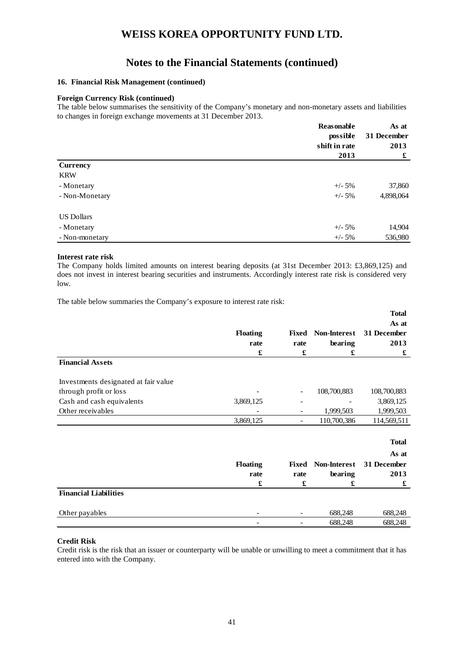# **Notes to the Financial Statements (continued)**

## **16. Financial Risk Management (continued)**

## **Foreign Currency Risk (continued)**

The table below summarises the sensitivity of the Company's monetary and non-monetary assets and liabilities to changes in foreign exchange movements at 31 December 2013.

|                   | <b>Reasonable</b> | As at       |  |
|-------------------|-------------------|-------------|--|
|                   | possible          | 31 December |  |
|                   | shift in rate     | 2013        |  |
|                   | 2013              | £           |  |
| <b>Currency</b>   |                   |             |  |
| <b>KRW</b>        |                   |             |  |
| - Monetary        | $+/- 5%$          | 37,860      |  |
| - Non-Monetary    | $+/- 5\%$         | 4,898,064   |  |
| <b>US Dollars</b> |                   |             |  |
| - Monetary        | $+/- 5%$          | 14,904      |  |
| - Non-monetary    | $+/- 5\%$         | 536,980     |  |
|                   |                   |             |  |

## **Interest rate risk**

The Company holds limited amounts on interest bearing deposits (at 31st December 2013: £3,869,125) and does not invest in interest bearing securities and instruments. Accordingly interest rate risk is considered very low.

The table below summaries the Company's exposure to interest rate risk:

|                                      |                 |       |                     | <b>Total</b>         |
|--------------------------------------|-----------------|-------|---------------------|----------------------|
|                                      | <b>Floating</b> | Fixed | <b>Non-Interest</b> | As at<br>31 December |
|                                      | rate            | rate  | bearing             | 2013                 |
|                                      | £               | £     | £                   | £                    |
| <b>Financial Assets</b>              |                 |       |                     |                      |
| Investments designated at fair value |                 |       |                     |                      |
| through profit or loss               |                 |       | 108,700,883         | 108,700,883          |
| Cash and cash equivalents            | 3,869,125       |       |                     | 3,869,125            |
| Other receivables                    |                 |       | 1,999,503           | 1,999,503            |
|                                      | 3,869,125       |       | 110,700,386         | 114,569,511          |
|                                      |                 |       |                     |                      |
|                                      |                 |       |                     | <b>Total</b>         |
|                                      |                 |       |                     | As at                |
|                                      | <b>Floating</b> | Fixed | Non-Interest        | 31 December          |
|                                      | rate            | rate  | bearing             | 2013                 |
|                                      | £               | £     | £                   | £                    |
| <b>Financial Liabilities</b>         |                 |       |                     |                      |
| Other payables                       |                 |       | 688,248             | 688,248              |
|                                      |                 |       | 688,248             | 688,248              |
|                                      |                 |       |                     |                      |

## **Credit Risk**

Credit risk is the risk that an issuer or counterparty will be unable or unwilling to meet a commitment that it has entered into with the Company.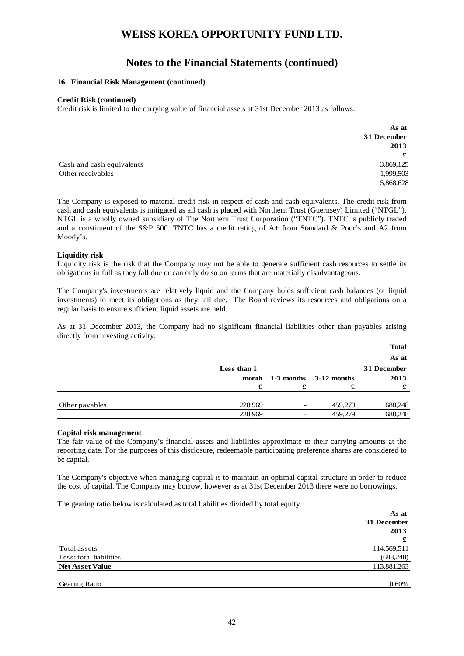# **Notes to the Financial Statements (continued)**

## **16. Financial Risk Management (continued)**

#### **Credit Risk (continued)**

Credit risk is limited to the carrying value of financial assets at 31st December 2013 as follows:

|                           | As at       |
|---------------------------|-------------|
|                           | 31 December |
|                           | 2013        |
|                           | £           |
| Cash and cash equivalents | 3,869,125   |
| Other receivables         | 1,999,503   |
|                           | 5,868,628   |

The Company is exposed to material credit risk in respect of cash and cash equivalents. The credit risk from cash and cash equivalents is mitigated as all cash is placed with Northern Trust (Guernsey) Limited ("NTGL"). NTGL is a wholly owned subsidiary of The Northern Trust Corporation ("TNTC"). TNTC is publicly traded and a constituent of the S&P 500. TNTC has a credit rating of A+ from Standard & Poor's and A2 from Moody's.

## **Liquidity risk**

Liquidity risk is the risk that the Company may not be able to generate sufficient cash resources to settle its obligations in full as they fall due or can only do so on terms that are materially disadvantageous.

The Company's investments are relatively liquid and the Company holds sufficient cash balances (or liquid investments) to meet its obligations as they fall due. The Board reviews its resources and obligations on a regular basis to ensure sufficient liquid assets are held.

As at 31 December 2013, the Company had no significant financial liabilities other than payables arising directly from investing activity.

|                |         |                          |                              | <b>Total</b> |
|----------------|---------|--------------------------|------------------------------|--------------|
| Less than 1    |         |                          |                              | As at        |
|                |         |                          |                              | 31 December  |
|                |         |                          | month 1-3 months 3-12 months | 2013         |
|                |         | £                        |                              | £            |
| Other payables | 228,969 |                          | 459,279                      | 688,248      |
|                | 228,969 | $\overline{\phantom{a}}$ | 459,279                      | 688,248      |

#### **Capital risk management**

The fair value of the Company's financial assets and liabilities approximate to their carrying amounts at the reporting date. For the purposes of this disclosure, redeemable participating preference shares are considered to be capital.

The Company's objective when managing capital is to maintain an optimal capital structure in order to reduce the cost of capital. The Company may borrow, however as at 31st December 2013 there were no borrowings.

The gearing ratio below is calculated as total liabilities divided by total equity.

|                         | As at       |
|-------------------------|-------------|
|                         | 31 December |
|                         | 2013        |
|                         | £           |
| Total assets            | 114,569,511 |
| Less: total liabilities | (688, 248)  |
| <b>Net Asset Value</b>  | 113,881,263 |
|                         |             |
| Gearing Ratio           | 0.60%       |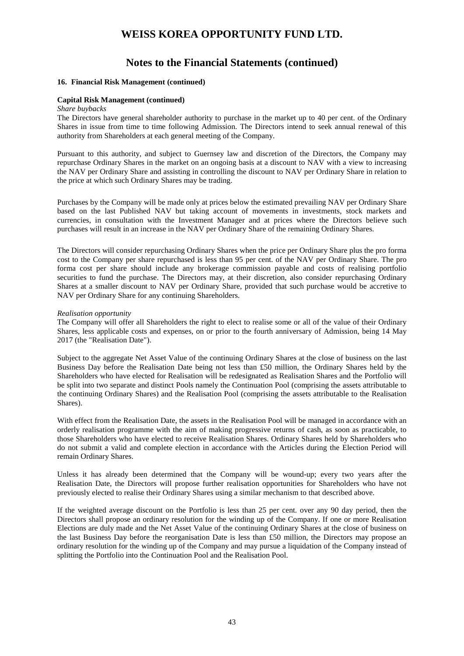# **Notes to the Financial Statements (continued)**

## **16. Financial Risk Management (continued)**

### **Capital Risk Management (continued)**

#### *Share buybacks*

The Directors have general shareholder authority to purchase in the market up to 40 per cent. of the Ordinary Shares in issue from time to time following Admission. The Directors intend to seek annual renewal of this authority from Shareholders at each general meeting of the Company.

Pursuant to this authority, and subject to Guernsey law and discretion of the Directors, the Company may repurchase Ordinary Shares in the market on an ongoing basis at a discount to NAV with a view to increasing the NAV per Ordinary Share and assisting in controlling the discount to NAV per Ordinary Share in relation to the price at which such Ordinary Shares may be trading.

Purchases by the Company will be made only at prices below the estimated prevailing NAV per Ordinary Share based on the last Published NAV but taking account of movements in investments, stock markets and currencies, in consultation with the Investment Manager and at prices where the Directors believe such purchases will result in an increase in the NAV per Ordinary Share of the remaining Ordinary Shares.

The Directors will consider repurchasing Ordinary Shares when the price per Ordinary Share plus the pro forma cost to the Company per share repurchased is less than 95 per cent. of the NAV per Ordinary Share. The pro forma cost per share should include any brokerage commission payable and costs of realising portfolio securities to fund the purchase. The Directors may, at their discretion, also consider repurchasing Ordinary Shares at a smaller discount to NAV per Ordinary Share, provided that such purchase would be accretive to NAV per Ordinary Share for any continuing Shareholders.

## *Realisation opportunity*

The Company will offer all Shareholders the right to elect to realise some or all of the value of their Ordinary Shares, less applicable costs and expenses, on or prior to the fourth anniversary of Admission, being 14 May 2017 (the "Realisation Date").

Subject to the aggregate Net Asset Value of the continuing Ordinary Shares at the close of business on the last Business Day before the Realisation Date being not less than £50 million, the Ordinary Shares held by the Shareholders who have elected for Realisation will be redesignated as Realisation Shares and the Portfolio will be split into two separate and distinct Pools namely the Continuation Pool (comprising the assets attributable to the continuing Ordinary Shares) and the Realisation Pool (comprising the assets attributable to the Realisation Shares).

With effect from the Realisation Date, the assets in the Realisation Pool will be managed in accordance with an orderly realisation programme with the aim of making progressive returns of cash, as soon as practicable, to those Shareholders who have elected to receive Realisation Shares. Ordinary Shares held by Shareholders who do not submit a valid and complete election in accordance with the Articles during the Election Period will remain Ordinary Shares.

Unless it has already been determined that the Company will be wound-up; every two years after the Realisation Date, the Directors will propose further realisation opportunities for Shareholders who have not previously elected to realise their Ordinary Shares using a similar mechanism to that described above.

If the weighted average discount on the Portfolio is less than 25 per cent. over any 90 day period, then the Directors shall propose an ordinary resolution for the winding up of the Company. If one or more Realisation Elections are duly made and the Net Asset Value of the continuing Ordinary Shares at the close of business on the last Business Day before the reorganisation Date is less than £50 million, the Directors may propose an ordinary resolution for the winding up of the Company and may pursue a liquidation of the Company instead of splitting the Portfolio into the Continuation Pool and the Realisation Pool.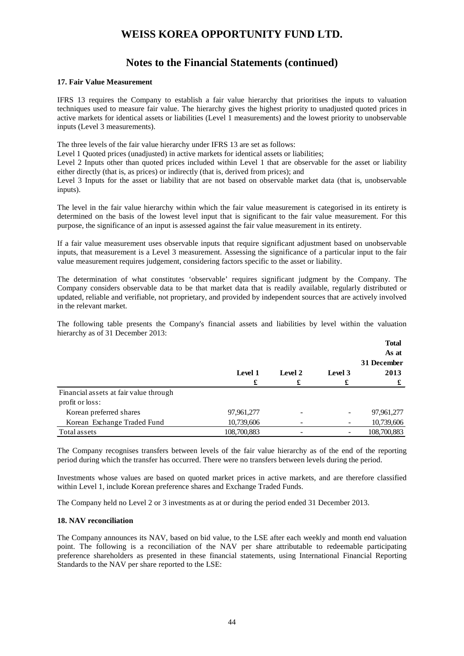# **Notes to the Financial Statements (continued)**

## **17. Fair Value Measurement**

IFRS 13 requires the Company to establish a fair value hierarchy that prioritises the inputs to valuation techniques used to measure fair value. The hierarchy gives the highest priority to unadjusted quoted prices in active markets for identical assets or liabilities (Level 1 measurements) and the lowest priority to unobservable inputs (Level 3 measurements).

The three levels of the fair value hierarchy under IFRS 13 are set as follows:

Level 1 Quoted prices (unadjusted) in active markets for identical assets or liabilities;

Level 2 Inputs other than quoted prices included within Level 1 that are observable for the asset or liability either directly (that is, as prices) or indirectly (that is, derived from prices); and

Level 3 Inputs for the asset or liability that are not based on observable market data (that is, unobservable inputs).

The level in the fair value hierarchy within which the fair value measurement is categorised in its entirety is determined on the basis of the lowest level input that is significant to the fair value measurement. For this purpose, the significance of an input is assessed against the fair value measurement in its entirety.

If a fair value measurement uses observable inputs that require significant adjustment based on unobservable inputs, that measurement is a Level 3 measurement. Assessing the significance of a particular input to the fair value measurement requires judgement, considering factors specific to the asset or liability.

The determination of what constitutes 'observable' requires significant judgment by the Company. The Company considers observable data to be that market data that is readily available, regularly distributed or updated, reliable and verifiable, not proprietary, and provided by independent sources that are actively involved in the relevant market.

The following table presents the Company's financial assets and liabilities by level within the valuation hierarchy as of 31 December 2013:

|                                        |             |         |                          | <b>Total</b> |
|----------------------------------------|-------------|---------|--------------------------|--------------|
|                                        |             |         |                          | As at        |
|                                        |             |         |                          | 31 December  |
|                                        | Level 1     | Level 2 | Level 3                  | 2013         |
|                                        | £           |         | £                        |              |
| Financial assets at fair value through |             |         |                          |              |
| profit or loss:                        |             |         |                          |              |
| Korean preferred shares                | 97,961,277  | -       | $\overline{\phantom{0}}$ | 97,961,277   |
| Korean Exchange Traded Fund            | 10,739,606  | -       |                          | 10,739,606   |
| Total assets                           | 108,700,883 |         |                          | 108,700,883  |

The Company recognises transfers between levels of the fair value hierarchy as of the end of the reporting period during which the transfer has occurred. There were no transfers between levels during the period.

Investments whose values are based on quoted market prices in active markets, and are therefore classified within Level 1, include Korean preference shares and Exchange Traded Funds.

The Company held no Level 2 or 3 investments as at or during the period ended 31 December 2013.

#### **18. NAV reconciliation**

The Company announces its NAV, based on bid value, to the LSE after each weekly and month end valuation point. The following is a reconciliation of the NAV per share attributable to redeemable participating preference shareholders as presented in these financial statements, using International Financial Reporting Standards to the NAV per share reported to the LSE: